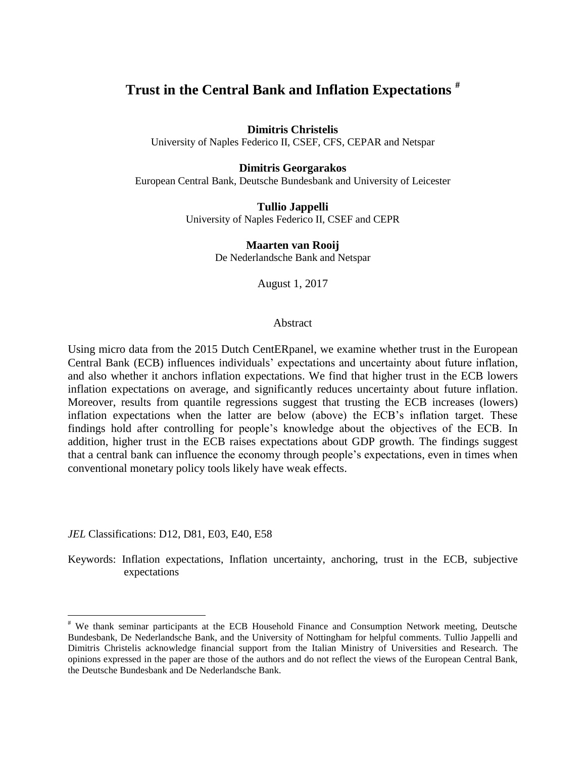# **Trust in the Central Bank and Inflation Expectations #**

# **Dimitris Christelis**

University of Naples Federico II, CSEF, CFS, CEPAR and Netspar

# **Dimitris Georgarakos**

European Central Bank, Deutsche Bundesbank and University of Leicester

**Tullio Jappelli** University of Naples Federico II, CSEF and CEPR

> **Maarten van Rooij** De Nederlandsche Bank and Netspar

> > August 1, 2017

# Abstract

Using micro data from the 2015 Dutch CentERpanel, we examine whether trust in the European Central Bank (ECB) influences individuals' expectations and uncertainty about future inflation, and also whether it anchors inflation expectations. We find that higher trust in the ECB lowers inflation expectations on average, and significantly reduces uncertainty about future inflation. Moreover, results from quantile regressions suggest that trusting the ECB increases (lowers) inflation expectations when the latter are below (above) the ECB's inflation target. These findings hold after controlling for people's knowledge about the objectives of the ECB. In addition, higher trust in the ECB raises expectations about GDP growth. The findings suggest that a central bank can influence the economy through people's expectations, even in times when conventional monetary policy tools likely have weak effects.

*JEL* Classifications: D12, D81, E03, E40, E58

 $\overline{a}$ 

Keywords: Inflation expectations, Inflation uncertainty, anchoring, trust in the ECB, subjective expectations

<sup>#</sup> We thank seminar participants at the ECB Household Finance and Consumption Network meeting, Deutsche Bundesbank, De Nederlandsche Bank, and the University of Nottingham for helpful comments. Tullio Jappelli and Dimitris Christelis acknowledge financial support from the Italian Ministry of Universities and Research. The opinions expressed in the paper are those of the authors and do not reflect the views of the European Central Bank, the Deutsche Bundesbank and De Nederlandsche Bank.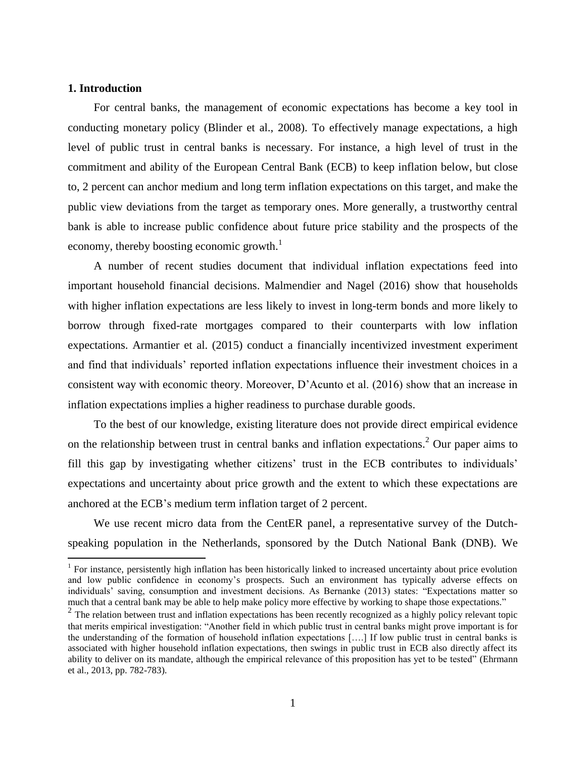# **1. Introduction**

 $\overline{a}$ 

For central banks, the management of economic expectations has become a key tool in conducting monetary policy (Blinder et al., 2008). To effectively manage expectations, a high level of public trust in central banks is necessary. For instance, a high level of trust in the commitment and ability of the European Central Bank (ECB) to keep inflation below, but close to, 2 percent can anchor medium and long term inflation expectations on this target, and make the public view deviations from the target as temporary ones. More generally, a trustworthy central bank is able to increase public confidence about future price stability and the prospects of the economy, thereby boosting economic growth.<sup>1</sup>

A number of recent studies document that individual inflation expectations feed into important household financial decisions. Malmendier and Nagel (2016) show that households with higher inflation expectations are less likely to invest in long-term bonds and more likely to borrow through fixed-rate mortgages compared to their counterparts with low inflation expectations. Armantier et al. (2015) conduct a financially incentivized investment experiment and find that individuals' reported inflation expectations influence their investment choices in a consistent way with economic theory. Moreover, D'Acunto et al. (2016) show that an increase in inflation expectations implies a higher readiness to purchase durable goods.

To the best of our knowledge, existing literature does not provide direct empirical evidence on the relationship between trust in central banks and inflation expectations.<sup>2</sup> Our paper aims to fill this gap by investigating whether citizens' trust in the ECB contributes to individuals' expectations and uncertainty about price growth and the extent to which these expectations are anchored at the ECB's medium term inflation target of 2 percent.

We use recent micro data from the CentER panel, a representative survey of the Dutchspeaking population in the Netherlands, sponsored by the Dutch National Bank (DNB). We

 $1$  For instance, persistently high inflation has been historically linked to increased uncertainty about price evolution and low public confidence in economy's prospects. Such an environment has typically adverse effects on individuals' saving, consumption and investment decisions. As Bernanke (2013) states: "Expectations matter so much that a central bank may be able to help make policy more effective by working to shape those expectations."

<sup>&</sup>lt;sup>2</sup> The relation between trust and inflation expectations has been recently recognized as a highly policy relevant topic that merits empirical investigation: "Another field in which public trust in central banks might prove important is for the understanding of the formation of household inflation expectations [….] If low public trust in central banks is associated with higher household inflation expectations, then swings in public trust in ECB also directly affect its ability to deliver on its mandate, although the empirical relevance of this proposition has yet to be tested" (Ehrmann et al., 2013, pp. 782-783).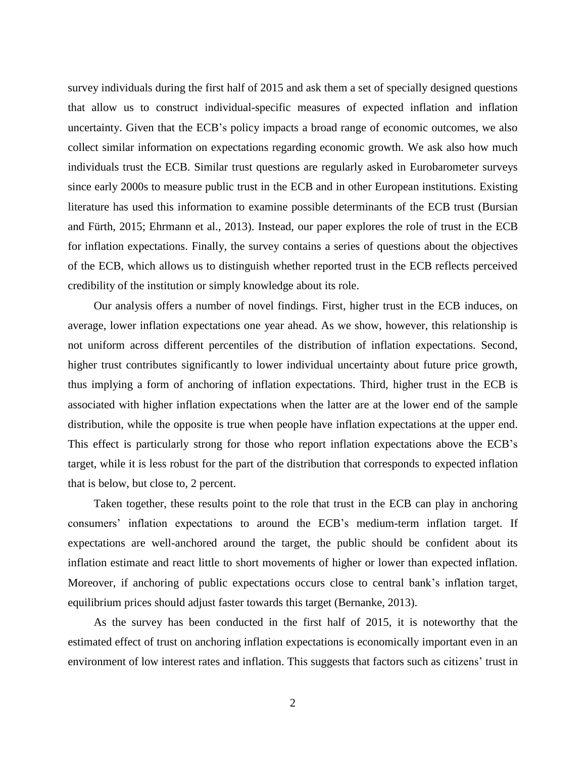survey individuals during the first half of 2015 and ask them a set of specially designed questions that allow us to construct individual-specific measures of expected inflation and inflation uncertainty. Given that the ECB's policy impacts a broad range of economic outcomes, we also collect similar information on expectations regarding economic growth. We ask also how much individuals trust the ECB. Similar trust questions are regularly asked in Eurobarometer surveys since early 2000s to measure public trust in the ECB and in other European institutions. Existing literature has used this information to examine possible determinants of the ECB trust (Bursian and Fürth, 2015; Ehrmann et al., 2013). Instead, our paper explores the role of trust in the ECB for inflation expectations. Finally, the survey contains a series of questions about the objectives of the ECB, which allows us to distinguish whether reported trust in the ECB reflects perceived credibility of the institution or simply knowledge about its role.

Our analysis offers a number of novel findings. First, higher trust in the ECB induces, on average, lower inflation expectations one year ahead. As we show, however, this relationship is not uniform across different percentiles of the distribution of inflation expectations. Second, higher trust contributes significantly to lower individual uncertainty about future price growth, thus implying a form of anchoring of inflation expectations. Third, higher trust in the ECB is associated with higher inflation expectations when the latter are at the lower end of the sample distribution, while the opposite is true when people have inflation expectations at the upper end. This effect is particularly strong for those who report inflation expectations above the ECB's target, while it is less robust for the part of the distribution that corresponds to expected inflation that is below, but close to, 2 percent.

Taken together, these results point to the role that trust in the ECB can play in anchoring consumers' inflation expectations to around the ECB's medium-term inflation target. If expectations are well-anchored around the target, the public should be confident about its inflation estimate and react little to short movements of higher or lower than expected inflation. Moreover, if anchoring of public expectations occurs close to central bank's inflation target, equilibrium prices should adjust faster towards this target (Bernanke, 2013).

As the survey has been conducted in the first half of 2015, it is noteworthy that the estimated effect of trust on anchoring inflation expectations is economically important even in an environment of low interest rates and inflation. This suggests that factors such as citizens' trust in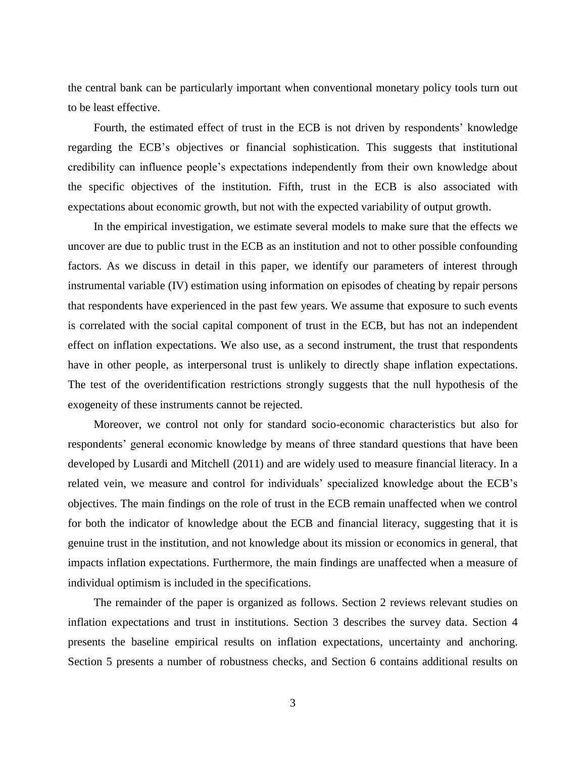the central bank can be particularly important when conventional monetary policy tools turn out to be least effective.

Fourth, the estimated effect of trust in the ECB is not driven by respondents' knowledge regarding the ECB's objectives or financial sophistication. This suggests that institutional credibility can influence people's expectations independently from their own knowledge about the specific objectives of the institution. Fifth, trust in the ECB is also associated with expectations about economic growth, but not with the expected variability of output growth.

In the empirical investigation, we estimate several models to make sure that the effects we uncover are due to public trust in the ECB as an institution and not to other possible confounding factors. As we discuss in detail in this paper, we identify our parameters of interest through instrumental variable (IV) estimation using information on episodes of cheating by repair persons that respondents have experienced in the past few years. We assume that exposure to such events is correlated with the social capital component of trust in the ECB, but has not an independent effect on inflation expectations. We also use, as a second instrument, the trust that respondents have in other people, as interpersonal trust is unlikely to directly shape inflation expectations. The test of the overidentification restrictions strongly suggests that the null hypothesis of the exogeneity of these instruments cannot be rejected.

Moreover, we control not only for standard socio-economic characteristics but also for respondents' general economic knowledge by means of three standard questions that have been developed by Lusardi and Mitchell (2011) and are widely used to measure financial literacy. In a related vein, we measure and control for individuals' specialized knowledge about the ECB's objectives. The main findings on the role of trust in the ECB remain unaffected when we control for both the indicator of knowledge about the ECB and financial literacy, suggesting that it is genuine trust in the institution, and not knowledge about its mission or economics in general, that impacts inflation expectations. Furthermore, the main findings are unaffected when a measure of individual optimism is included in the specifications.

The remainder of the paper is organized as follows. Section 2 reviews relevant studies on inflation expectations and trust in institutions. Section 3 describes the survey data. Section 4 presents the baseline empirical results on inflation expectations, uncertainty and anchoring. Section 5 presents a number of robustness checks, and Section 6 contains additional results on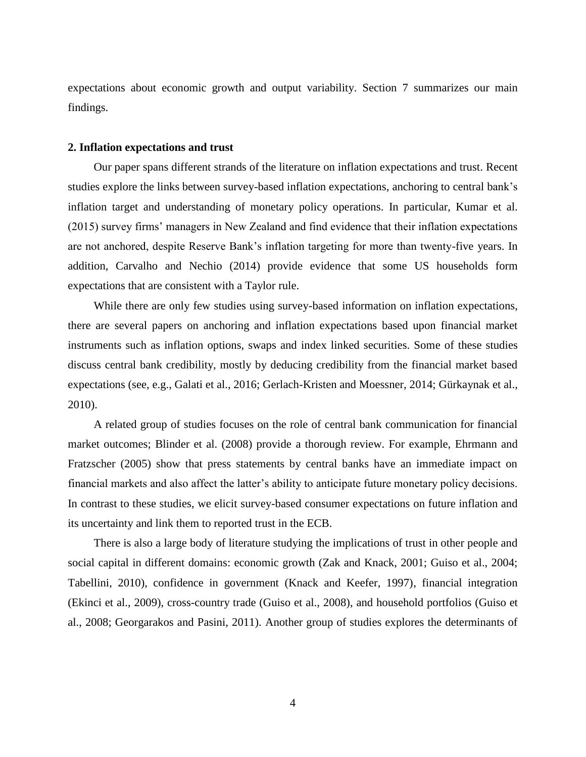expectations about economic growth and output variability. Section 7 summarizes our main findings.

### **2. Inflation expectations and trust**

Our paper spans different strands of the literature on inflation expectations and trust. Recent studies explore the links between survey-based inflation expectations, anchoring to central bank's inflation target and understanding of monetary policy operations. In particular, Kumar et al. (2015) survey firms' managers in New Zealand and find evidence that their inflation expectations are not anchored, despite Reserve Bank's inflation targeting for more than twenty-five years. In addition, Carvalho and Nechio (2014) provide evidence that some US households form expectations that are consistent with a Taylor rule.

While there are only few studies using survey-based information on inflation expectations, there are several papers on anchoring and inflation expectations based upon financial market instruments such as inflation options, swaps and index linked securities. Some of these studies discuss central bank credibility, mostly by deducing credibility from the financial market based expectations (see, e.g., Galati et al., 2016; Gerlach-Kristen and Moessner, 2014; Gürkaynak et al., 2010).

A related group of studies focuses on the role of central bank communication for financial market outcomes; Blinder et al. (2008) provide a thorough review. For example, Ehrmann and Fratzscher (2005) show that press statements by central banks have an immediate impact on financial markets and also affect the latter's ability to anticipate future monetary policy decisions. In contrast to these studies, we elicit survey-based consumer expectations on future inflation and its uncertainty and link them to reported trust in the ECB.

There is also a large body of literature studying the implications of trust in other people and social capital in different domains: economic growth (Zak and Knack, 2001; Guiso et al., 2004; Tabellini, 2010), confidence in government (Knack and Keefer, 1997), financial integration (Ekinci et al., 2009), cross-country trade (Guiso et al., 2008), and household portfolios (Guiso et al., 2008; Georgarakos and Pasini, 2011). Another group of studies explores the determinants of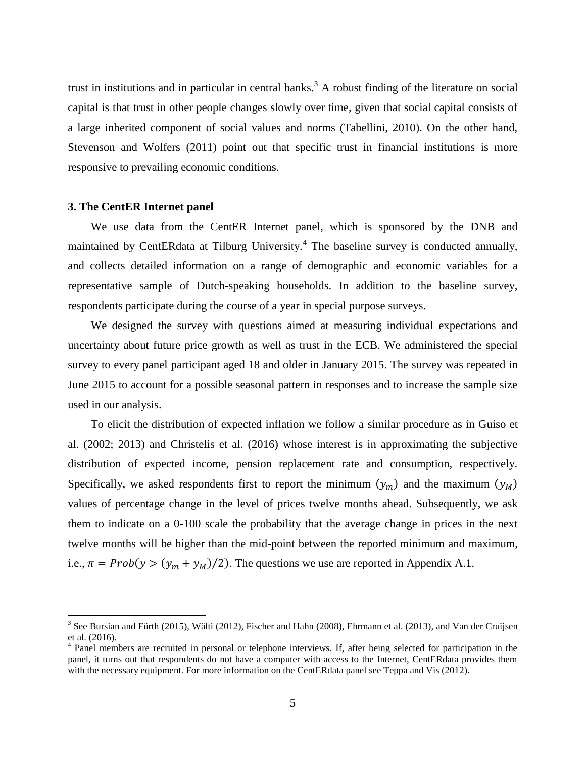trust in institutions and in particular in central banks.<sup>3</sup> A robust finding of the literature on social capital is that trust in other people changes slowly over time, given that social capital consists of a large inherited component of social values and norms (Tabellini, 2010). On the other hand, Stevenson and Wolfers (2011) point out that specific trust in financial institutions is more responsive to prevailing economic conditions.

## **3. The CentER Internet panel**

 $\overline{a}$ 

We use data from the CentER Internet panel, which is sponsored by the DNB and maintained by CentERdata at Tilburg University.<sup>4</sup> The baseline survey is conducted annually, and collects detailed information on a range of demographic and economic variables for a representative sample of Dutch-speaking households. In addition to the baseline survey, respondents participate during the course of a year in special purpose surveys.

We designed the survey with questions aimed at measuring individual expectations and uncertainty about future price growth as well as trust in the ECB. We administered the special survey to every panel participant aged 18 and older in January 2015. The survey was repeated in June 2015 to account for a possible seasonal pattern in responses and to increase the sample size used in our analysis.

To elicit the distribution of expected inflation we follow a similar procedure as in Guiso et al. (2002; 2013) and Christelis et al. (2016) whose interest is in approximating the subjective distribution of expected income, pension replacement rate and consumption, respectively. Specifically, we asked respondents first to report the minimum  $(y_m)$  and the maximum  $(y_M)$ values of percentage change in the level of prices twelve months ahead. Subsequently, we ask them to indicate on a 0-100 scale the probability that the average change in prices in the next twelve months will be higher than the mid-point between the reported minimum and maximum, i.e.,  $\pi = Prob(y > (y_m + y_m)/2)$ . The questions we use are reported in Appendix A.1.

 $3$  See Bursian and Fürth (2015), Wälti (2012), Fischer and Hahn (2008), Ehrmann et al. (2013), and Van der Cruijsen et al. (2016).

<sup>&</sup>lt;sup>4</sup> Panel members are recruited in personal or telephone interviews. If, after being selected for participation in the panel, it turns out that respondents do not have a computer with access to the Internet, CentERdata provides them with the necessary equipment. For more information on the CentERdata panel see Teppa and Vis (2012).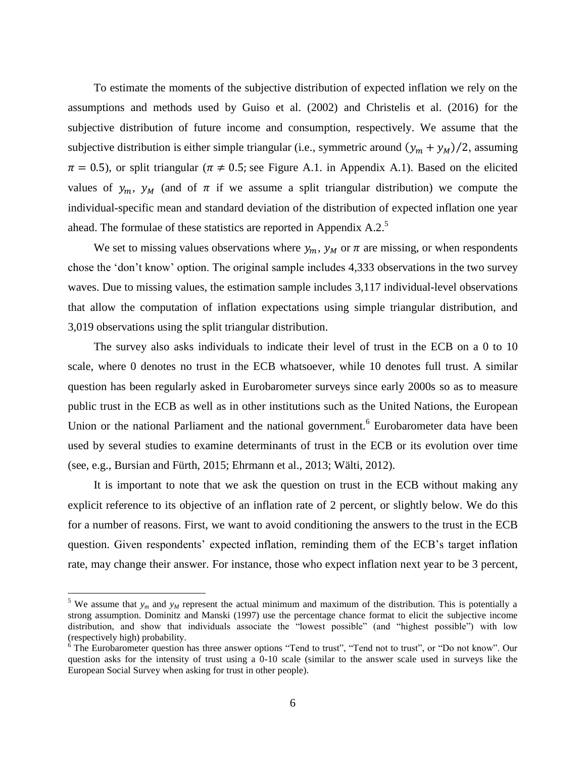To estimate the moments of the subjective distribution of expected inflation we rely on the assumptions and methods used by Guiso et al. (2002) and Christelis et al. (2016) for the subjective distribution of future income and consumption, respectively. We assume that the subjective distribution is either simple triangular (i.e., symmetric around  $(y_m + y_M)/2$ , assuming  $\pi = 0.5$ ), or split triangular ( $\pi \neq 0.5$ ; see Figure A.1. in Appendix A.1). Based on the elicited values of  $y_m$ ,  $y_M$  (and of  $\pi$  if we assume a split triangular distribution) we compute the individual-specific mean and standard deviation of the distribution of expected inflation one year ahead. The formulae of these statistics are reported in Appendix A.2.<sup>5</sup>

We set to missing values observations where  $y_m$ ,  $y_M$  or  $\pi$  are missing, or when respondents chose the 'don't know' option. The original sample includes 4,333 observations in the two survey waves. Due to missing values, the estimation sample includes 3,117 individual-level observations that allow the computation of inflation expectations using simple triangular distribution, and 3,019 observations using the split triangular distribution.

The survey also asks individuals to indicate their level of trust in the ECB on a 0 to 10 scale, where 0 denotes no trust in the ECB whatsoever, while 10 denotes full trust. A similar question has been regularly asked in Eurobarometer surveys since early 2000s so as to measure public trust in the ECB as well as in other institutions such as the United Nations, the European Union or the national Parliament and the national government.<sup>6</sup> Eurobarometer data have been used by several studies to examine determinants of trust in the ECB or its evolution over time (see, e.g., Bursian and Fürth, 2015; Ehrmann et al., 2013; Wälti, 2012).

It is important to note that we ask the question on trust in the ECB without making any explicit reference to its objective of an inflation rate of 2 percent, or slightly below. We do this for a number of reasons. First, we want to avoid conditioning the answers to the trust in the ECB question. Given respondents' expected inflation, reminding them of the ECB's target inflation rate, may change their answer. For instance, those who expect inflation next year to be 3 percent,

 $\overline{a}$ 

<sup>&</sup>lt;sup>5</sup> We assume that  $y_m$  and  $y_M$  represent the actual minimum and maximum of the distribution. This is potentially a strong assumption. Dominitz and Manski (1997) use the percentage chance format to elicit the subjective income distribution, and show that individuals associate the "lowest possible" (and "highest possible") with low (respectively high) probability.

<sup>&</sup>lt;sup>6</sup> The Eurobarometer question has three answer options "Tend to trust", "Tend not to trust", or "Do not know". Our question asks for the intensity of trust using a 0-10 scale (similar to the answer scale used in surveys like the European Social Survey when asking for trust in other people).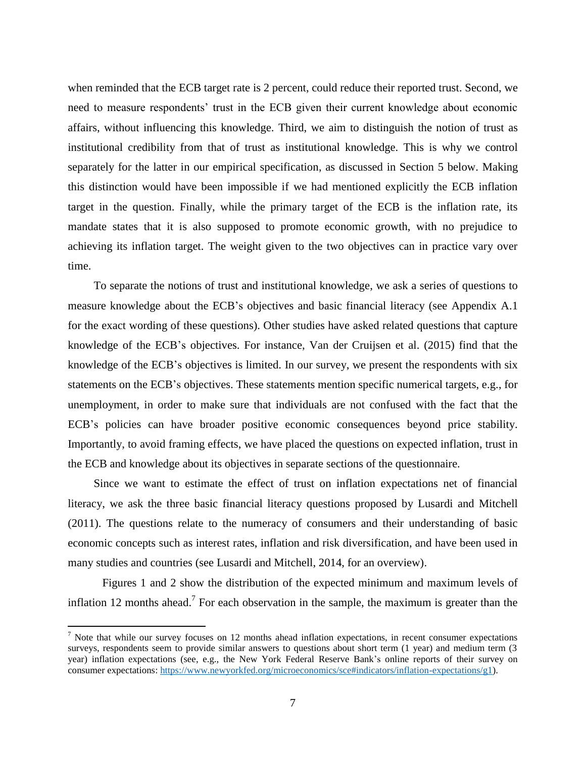when reminded that the ECB target rate is 2 percent, could reduce their reported trust. Second, we need to measure respondents' trust in the ECB given their current knowledge about economic affairs, without influencing this knowledge. Third, we aim to distinguish the notion of trust as institutional credibility from that of trust as institutional knowledge. This is why we control separately for the latter in our empirical specification, as discussed in Section 5 below. Making this distinction would have been impossible if we had mentioned explicitly the ECB inflation target in the question. Finally, while the primary target of the ECB is the inflation rate, its mandate states that it is also supposed to promote economic growth, with no prejudice to achieving its inflation target. The weight given to the two objectives can in practice vary over time.

To separate the notions of trust and institutional knowledge, we ask a series of questions to measure knowledge about the ECB's objectives and basic financial literacy (see Appendix A.1 for the exact wording of these questions). Other studies have asked related questions that capture knowledge of the ECB's objectives. For instance, Van der Cruijsen et al. (2015) find that the knowledge of the ECB's objectives is limited. In our survey, we present the respondents with six statements on the ECB's objectives. These statements mention specific numerical targets, e.g., for unemployment, in order to make sure that individuals are not confused with the fact that the ECB's policies can have broader positive economic consequences beyond price stability. Importantly, to avoid framing effects, we have placed the questions on expected inflation, trust in the ECB and knowledge about its objectives in separate sections of the questionnaire.

Since we want to estimate the effect of trust on inflation expectations net of financial literacy, we ask the three basic financial literacy questions proposed by Lusardi and Mitchell (2011). The questions relate to the numeracy of consumers and their understanding of basic economic concepts such as interest rates, inflation and risk diversification, and have been used in many studies and countries (see Lusardi and Mitchell, 2014, for an overview).

Figures 1 and 2 show the distribution of the expected minimum and maximum levels of inflation 12 months ahead.<sup>7</sup> For each observation in the sample, the maximum is greater than the

 $\overline{a}$ 

 $<sup>7</sup>$  Note that while our survey focuses on 12 months ahead inflation expectations, in recent consumer expectations</sup> surveys, respondents seem to provide similar answers to questions about short term (1 year) and medium term (3 year) inflation expectations (see, e.g., the New York Federal Reserve Bank's online reports of their survey on consumer expectations[: https://www.newyorkfed.org/microeconomics/sce#indicators/inflation-expectations/g1\)](https://www.newyorkfed.org/microeconomics/sce#indicators/inflation-expectations/g1).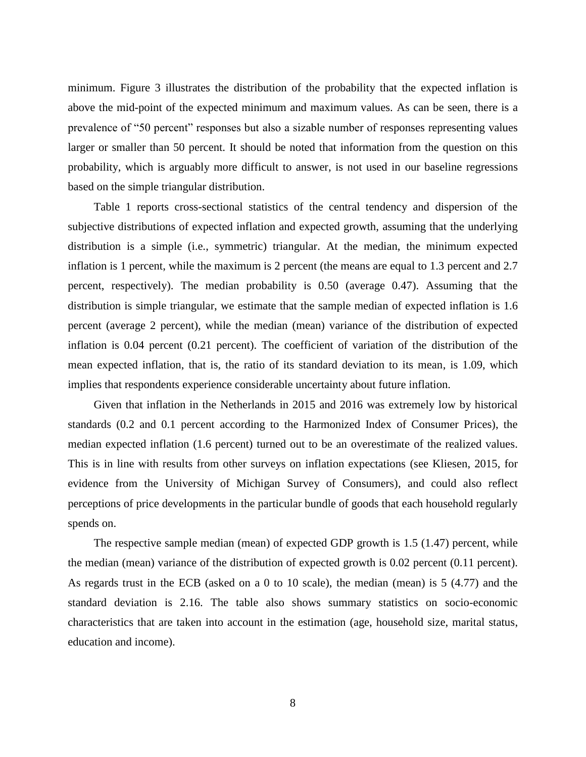minimum. Figure 3 illustrates the distribution of the probability that the expected inflation is above the mid-point of the expected minimum and maximum values. As can be seen, there is a prevalence of "50 percent" responses but also a sizable number of responses representing values larger or smaller than 50 percent. It should be noted that information from the question on this probability, which is arguably more difficult to answer, is not used in our baseline regressions based on the simple triangular distribution.

Table 1 reports cross-sectional statistics of the central tendency and dispersion of the subjective distributions of expected inflation and expected growth, assuming that the underlying distribution is a simple (i.e., symmetric) triangular. At the median, the minimum expected inflation is 1 percent, while the maximum is 2 percent (the means are equal to 1.3 percent and 2.7 percent, respectively). The median probability is 0.50 (average 0.47). Assuming that the distribution is simple triangular, we estimate that the sample median of expected inflation is 1.6 percent (average 2 percent), while the median (mean) variance of the distribution of expected inflation is 0.04 percent (0.21 percent). The coefficient of variation of the distribution of the mean expected inflation, that is, the ratio of its standard deviation to its mean, is 1.09, which implies that respondents experience considerable uncertainty about future inflation.

Given that inflation in the Netherlands in 2015 and 2016 was extremely low by historical standards (0.2 and 0.1 percent according to the Harmonized Index of Consumer Prices), the median expected inflation (1.6 percent) turned out to be an overestimate of the realized values. This is in line with results from other surveys on inflation expectations (see Kliesen, 2015, for evidence from the University of Michigan Survey of Consumers), and could also reflect perceptions of price developments in the particular bundle of goods that each household regularly spends on.

The respective sample median (mean) of expected GDP growth is 1.5 (1.47) percent, while the median (mean) variance of the distribution of expected growth is 0.02 percent (0.11 percent). As regards trust in the ECB (asked on a 0 to 10 scale), the median (mean) is 5 (4.77) and the standard deviation is 2.16. The table also shows summary statistics on socio-economic characteristics that are taken into account in the estimation (age, household size, marital status, education and income).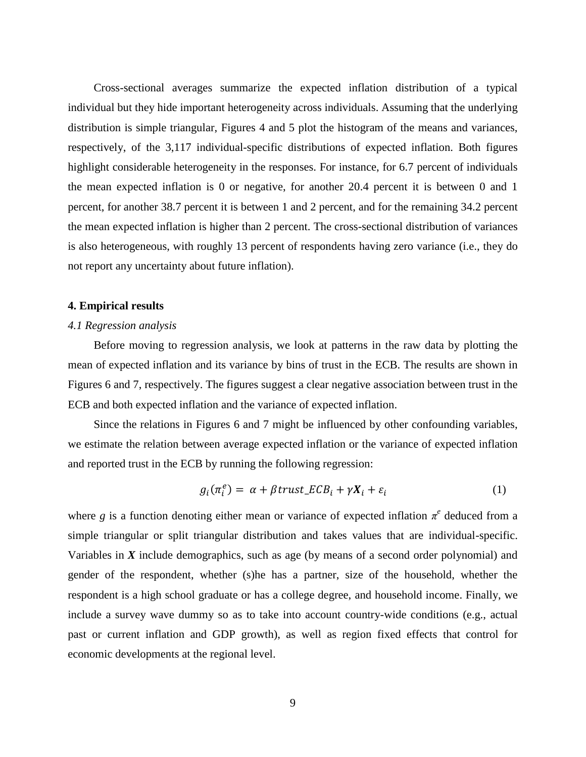Cross-sectional averages summarize the expected inflation distribution of a typical individual but they hide important heterogeneity across individuals. Assuming that the underlying distribution is simple triangular, Figures 4 and 5 plot the histogram of the means and variances, respectively, of the 3,117 individual-specific distributions of expected inflation. Both figures highlight considerable heterogeneity in the responses. For instance, for 6.7 percent of individuals the mean expected inflation is 0 or negative, for another 20.4 percent it is between 0 and 1 percent, for another 38.7 percent it is between 1 and 2 percent, and for the remaining 34.2 percent the mean expected inflation is higher than 2 percent. The cross-sectional distribution of variances is also heterogeneous, with roughly 13 percent of respondents having zero variance (i.e., they do not report any uncertainty about future inflation).

## **4. Empirical results**

# *4.1 Regression analysis*

Before moving to regression analysis, we look at patterns in the raw data by plotting the mean of expected inflation and its variance by bins of trust in the ECB. The results are shown in Figures 6 and 7, respectively. The figures suggest a clear negative association between trust in the ECB and both expected inflation and the variance of expected inflation.

Since the relations in Figures 6 and 7 might be influenced by other confounding variables, we estimate the relation between average expected inflation or the variance of expected inflation and reported trust in the ECB by running the following regression:

$$
g_i(\pi_i^e) = \alpha + \beta \text{trust\_ECB}_i + \gamma X_i + \varepsilon_i \tag{1}
$$

where *g* is a function denoting either mean or variance of expected inflation  $\pi^e$  deduced from a simple triangular or split triangular distribution and takes values that are individual-specific. Variables in *X* include demographics, such as age (by means of a second order polynomial) and gender of the respondent, whether (s)he has a partner, size of the household, whether the respondent is a high school graduate or has a college degree, and household income. Finally, we include a survey wave dummy so as to take into account country-wide conditions (e.g., actual past or current inflation and GDP growth), as well as region fixed effects that control for economic developments at the regional level.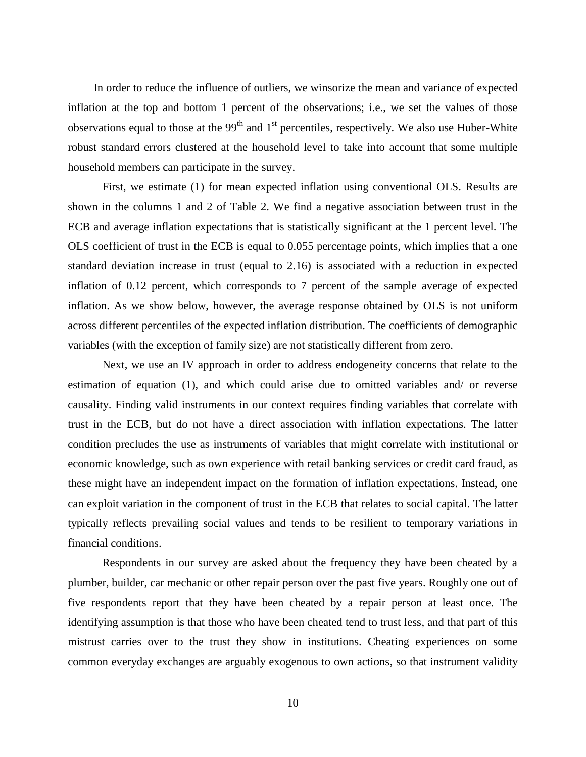In order to reduce the influence of outliers, we winsorize the mean and variance of expected inflation at the top and bottom 1 percent of the observations; i.e., we set the values of those observations equal to those at the  $99<sup>th</sup>$  and  $1<sup>st</sup>$  percentiles, respectively. We also use Huber-White robust standard errors clustered at the household level to take into account that some multiple household members can participate in the survey.

First, we estimate (1) for mean expected inflation using conventional OLS. Results are shown in the columns 1 and 2 of Table 2. We find a negative association between trust in the ECB and average inflation expectations that is statistically significant at the 1 percent level. The OLS coefficient of trust in the ECB is equal to 0.055 percentage points, which implies that a one standard deviation increase in trust (equal to 2.16) is associated with a reduction in expected inflation of 0.12 percent, which corresponds to 7 percent of the sample average of expected inflation. As we show below, however, the average response obtained by OLS is not uniform across different percentiles of the expected inflation distribution. The coefficients of demographic variables (with the exception of family size) are not statistically different from zero.

Next, we use an IV approach in order to address endogeneity concerns that relate to the estimation of equation (1), and which could arise due to omitted variables and/ or reverse causality. Finding valid instruments in our context requires finding variables that correlate with trust in the ECB, but do not have a direct association with inflation expectations. The latter condition precludes the use as instruments of variables that might correlate with institutional or economic knowledge, such as own experience with retail banking services or credit card fraud, as these might have an independent impact on the formation of inflation expectations. Instead, one can exploit variation in the component of trust in the ECB that relates to social capital. The latter typically reflects prevailing social values and tends to be resilient to temporary variations in financial conditions.

Respondents in our survey are asked about the frequency they have been cheated by a plumber, builder, car mechanic or other repair person over the past five years. Roughly one out of five respondents report that they have been cheated by a repair person at least once. The identifying assumption is that those who have been cheated tend to trust less, and that part of this mistrust carries over to the trust they show in institutions. Cheating experiences on some common everyday exchanges are arguably exogenous to own actions, so that instrument validity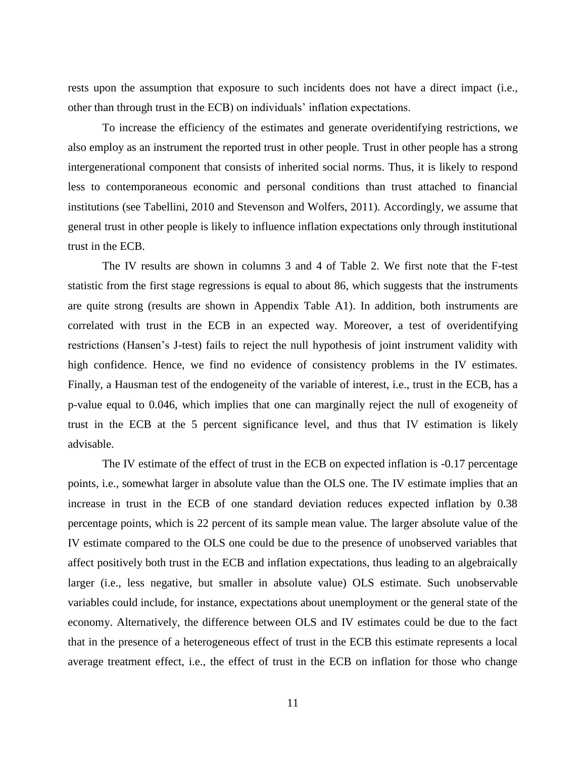rests upon the assumption that exposure to such incidents does not have a direct impact (i.e., other than through trust in the ECB) on individuals' inflation expectations.

To increase the efficiency of the estimates and generate overidentifying restrictions, we also employ as an instrument the reported trust in other people. Trust in other people has a strong intergenerational component that consists of inherited social norms. Thus, it is likely to respond less to contemporaneous economic and personal conditions than trust attached to financial institutions (see Tabellini, 2010 and Stevenson and Wolfers, 2011). Accordingly, we assume that general trust in other people is likely to influence inflation expectations only through institutional trust in the ECB.

The IV results are shown in columns 3 and 4 of Table 2. We first note that the F-test statistic from the first stage regressions is equal to about 86, which suggests that the instruments are quite strong (results are shown in Appendix Table A1). In addition, both instruments are correlated with trust in the ECB in an expected way. Moreover, a test of overidentifying restrictions (Hansen's J-test) fails to reject the null hypothesis of joint instrument validity with high confidence. Hence, we find no evidence of consistency problems in the IV estimates. Finally, a Hausman test of the endogeneity of the variable of interest, i.e., trust in the ECB, has a p-value equal to 0.046, which implies that one can marginally reject the null of exogeneity of trust in the ECB at the 5 percent significance level, and thus that IV estimation is likely advisable.

The IV estimate of the effect of trust in the ECB on expected inflation is -0.17 percentage points, i.e., somewhat larger in absolute value than the OLS one. The IV estimate implies that an increase in trust in the ECB of one standard deviation reduces expected inflation by 0.38 percentage points, which is 22 percent of its sample mean value. The larger absolute value of the IV estimate compared to the OLS one could be due to the presence of unobserved variables that affect positively both trust in the ECB and inflation expectations, thus leading to an algebraically larger (i.e., less negative, but smaller in absolute value) OLS estimate. Such unobservable variables could include, for instance, expectations about unemployment or the general state of the economy. Alternatively, the difference between OLS and IV estimates could be due to the fact that in the presence of a heterogeneous effect of trust in the ECB this estimate represents a local average treatment effect, i.e., the effect of trust in the ECB on inflation for those who change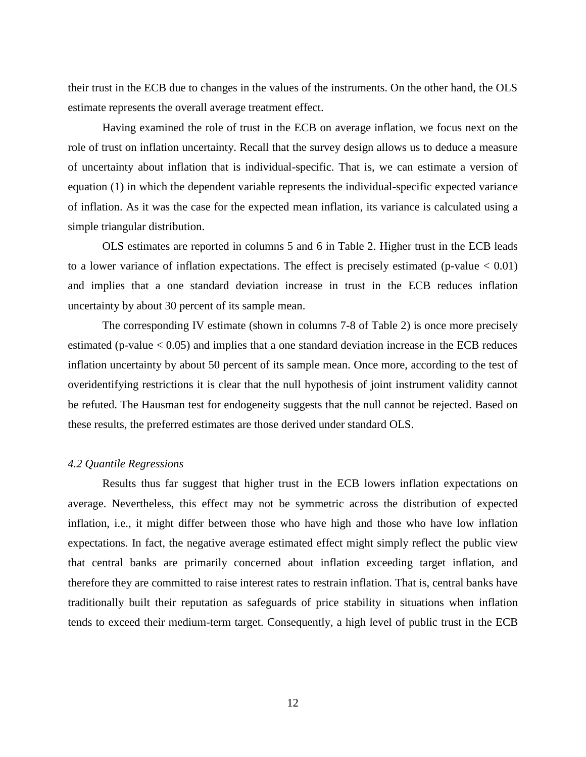their trust in the ECB due to changes in the values of the instruments. On the other hand, the OLS estimate represents the overall average treatment effect.

Having examined the role of trust in the ECB on average inflation, we focus next on the role of trust on inflation uncertainty. Recall that the survey design allows us to deduce a measure of uncertainty about inflation that is individual-specific. That is, we can estimate a version of equation (1) in which the dependent variable represents the individual-specific expected variance of inflation. As it was the case for the expected mean inflation, its variance is calculated using a simple triangular distribution.

OLS estimates are reported in columns 5 and 6 in Table 2. Higher trust in the ECB leads to a lower variance of inflation expectations. The effect is precisely estimated (p-value  $< 0.01$ ) and implies that a one standard deviation increase in trust in the ECB reduces inflation uncertainty by about 30 percent of its sample mean.

The corresponding IV estimate (shown in columns 7-8 of Table 2) is once more precisely estimated (p-value  $< 0.05$ ) and implies that a one standard deviation increase in the ECB reduces inflation uncertainty by about 50 percent of its sample mean. Once more, according to the test of overidentifying restrictions it is clear that the null hypothesis of joint instrument validity cannot be refuted. The Hausman test for endogeneity suggests that the null cannot be rejected. Based on these results, the preferred estimates are those derived under standard OLS.

## *4.2 Quantile Regressions*

Results thus far suggest that higher trust in the ECB lowers inflation expectations on average. Nevertheless, this effect may not be symmetric across the distribution of expected inflation, i.e., it might differ between those who have high and those who have low inflation expectations. In fact, the negative average estimated effect might simply reflect the public view that central banks are primarily concerned about inflation exceeding target inflation, and therefore they are committed to raise interest rates to restrain inflation. That is, central banks have traditionally built their reputation as safeguards of price stability in situations when inflation tends to exceed their medium-term target. Consequently, a high level of public trust in the ECB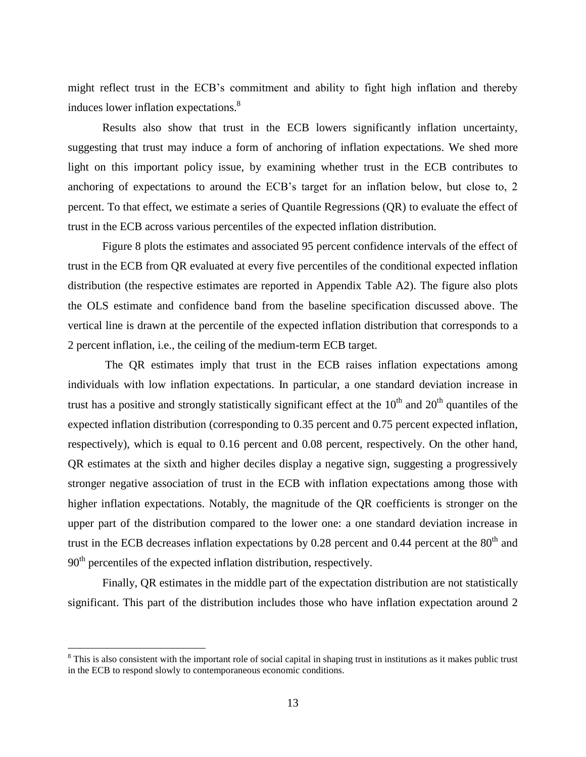might reflect trust in the ECB's commitment and ability to fight high inflation and thereby induces lower inflation expectations.<sup>8</sup>

Results also show that trust in the ECB lowers significantly inflation uncertainty, suggesting that trust may induce a form of anchoring of inflation expectations. We shed more light on this important policy issue, by examining whether trust in the ECB contributes to anchoring of expectations to around the ECB's target for an inflation below, but close to, 2 percent. To that effect, we estimate a series of Quantile Regressions (QR) to evaluate the effect of trust in the ECB across various percentiles of the expected inflation distribution.

Figure 8 plots the estimates and associated 95 percent confidence intervals of the effect of trust in the ECB from QR evaluated at every five percentiles of the conditional expected inflation distribution (the respective estimates are reported in Appendix Table A2). The figure also plots the OLS estimate and confidence band from the baseline specification discussed above. The vertical line is drawn at the percentile of the expected inflation distribution that corresponds to a 2 percent inflation, i.e., the ceiling of the medium-term ECB target.

The QR estimates imply that trust in the ECB raises inflation expectations among individuals with low inflation expectations. In particular, a one standard deviation increase in trust has a positive and strongly statistically significant effect at the  $10<sup>th</sup>$  and  $20<sup>th</sup>$  quantiles of the expected inflation distribution (corresponding to 0.35 percent and 0.75 percent expected inflation, respectively), which is equal to 0.16 percent and 0.08 percent, respectively. On the other hand, QR estimates at the sixth and higher deciles display a negative sign, suggesting a progressively stronger negative association of trust in the ECB with inflation expectations among those with higher inflation expectations. Notably, the magnitude of the QR coefficients is stronger on the upper part of the distribution compared to the lower one: a one standard deviation increase in trust in the ECB decreases inflation expectations by  $0.28$  percent and  $0.44$  percent at the  $80<sup>th</sup>$  and  $90<sup>th</sup>$  percentiles of the expected inflation distribution, respectively.

Finally, QR estimates in the middle part of the expectation distribution are not statistically significant. This part of the distribution includes those who have inflation expectation around 2

 $\overline{a}$ 

<sup>&</sup>lt;sup>8</sup> This is also consistent with the important role of social capital in shaping trust in institutions as it makes public trust in the ECB to respond slowly to contemporaneous economic conditions.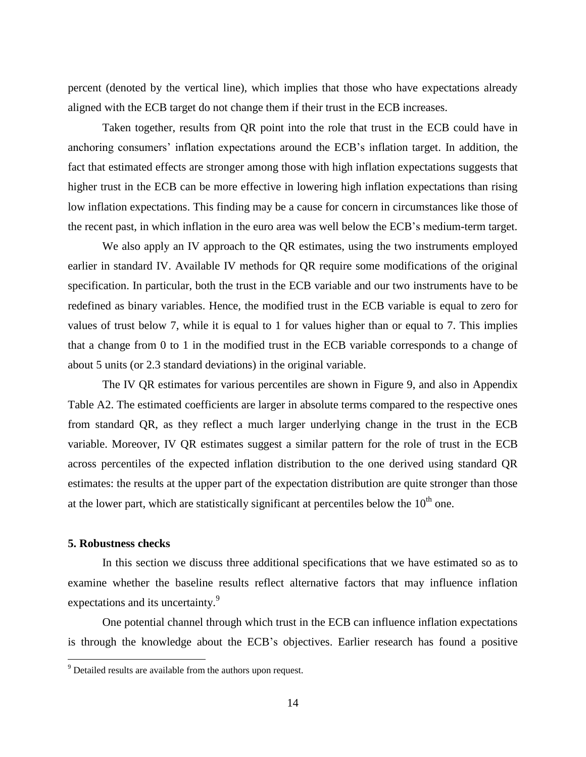percent (denoted by the vertical line), which implies that those who have expectations already aligned with the ECB target do not change them if their trust in the ECB increases.

Taken together, results from QR point into the role that trust in the ECB could have in anchoring consumers' inflation expectations around the ECB's inflation target. In addition, the fact that estimated effects are stronger among those with high inflation expectations suggests that higher trust in the ECB can be more effective in lowering high inflation expectations than rising low inflation expectations. This finding may be a cause for concern in circumstances like those of the recent past, in which inflation in the euro area was well below the ECB's medium-term target.

We also apply an IV approach to the QR estimates, using the two instruments employed earlier in standard IV. Available IV methods for QR require some modifications of the original specification. In particular, both the trust in the ECB variable and our two instruments have to be redefined as binary variables. Hence, the modified trust in the ECB variable is equal to zero for values of trust below 7, while it is equal to 1 for values higher than or equal to 7. This implies that a change from 0 to 1 in the modified trust in the ECB variable corresponds to a change of about 5 units (or 2.3 standard deviations) in the original variable.

The IV QR estimates for various percentiles are shown in Figure 9, and also in Appendix Table A2. The estimated coefficients are larger in absolute terms compared to the respective ones from standard QR, as they reflect a much larger underlying change in the trust in the ECB variable. Moreover, IV QR estimates suggest a similar pattern for the role of trust in the ECB across percentiles of the expected inflation distribution to the one derived using standard QR estimates: the results at the upper part of the expectation distribution are quite stronger than those at the lower part, which are statistically significant at percentiles below the  $10<sup>th</sup>$  one.

# **5. Robustness checks**

 $\overline{a}$ 

In this section we discuss three additional specifications that we have estimated so as to examine whether the baseline results reflect alternative factors that may influence inflation expectations and its uncertainty.<sup>9</sup>

One potential channel through which trust in the ECB can influence inflation expectations is through the knowledge about the ECB's objectives. Earlier research has found a positive

 $9^9$  Detailed results are available from the authors upon request.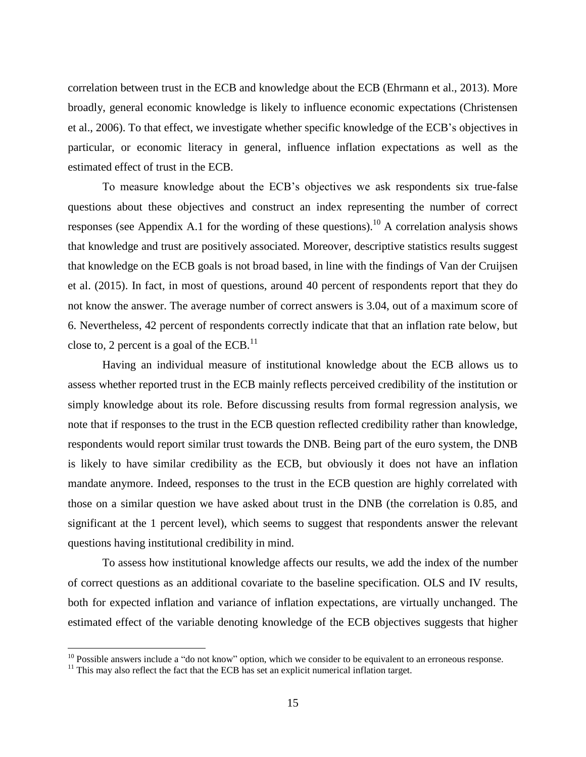correlation between trust in the ECB and knowledge about the ECB (Ehrmann et al., 2013). More broadly, general economic knowledge is likely to influence economic expectations (Christensen et al., 2006). To that effect, we investigate whether specific knowledge of the ECB's objectives in particular, or economic literacy in general, influence inflation expectations as well as the estimated effect of trust in the ECB.

To measure knowledge about the ECB's objectives we ask respondents six true-false questions about these objectives and construct an index representing the number of correct responses (see Appendix A.1 for the wording of these questions).<sup>10</sup> A correlation analysis shows that knowledge and trust are positively associated. Moreover, descriptive statistics results suggest that knowledge on the ECB goals is not broad based, in line with the findings of Van der Cruijsen et al. (2015). In fact, in most of questions, around 40 percent of respondents report that they do not know the answer. The average number of correct answers is 3.04, out of a maximum score of 6. Nevertheless, 42 percent of respondents correctly indicate that that an inflation rate below, but close to, 2 percent is a goal of the  $ECB$ .<sup>11</sup>

Having an individual measure of institutional knowledge about the ECB allows us to assess whether reported trust in the ECB mainly reflects perceived credibility of the institution or simply knowledge about its role. Before discussing results from formal regression analysis, we note that if responses to the trust in the ECB question reflected credibility rather than knowledge, respondents would report similar trust towards the DNB. Being part of the euro system, the DNB is likely to have similar credibility as the ECB, but obviously it does not have an inflation mandate anymore. Indeed, responses to the trust in the ECB question are highly correlated with those on a similar question we have asked about trust in the DNB (the correlation is 0.85, and significant at the 1 percent level), which seems to suggest that respondents answer the relevant questions having institutional credibility in mind.

To assess how institutional knowledge affects our results, we add the index of the number of correct questions as an additional covariate to the baseline specification. OLS and IV results, both for expected inflation and variance of inflation expectations, are virtually unchanged. The estimated effect of the variable denoting knowledge of the ECB objectives suggests that higher

 $\overline{a}$ 

 $10$  Possible answers include a "do not know" option, which we consider to be equivalent to an erroneous response.

 $11$  This may also reflect the fact that the ECB has set an explicit numerical inflation target.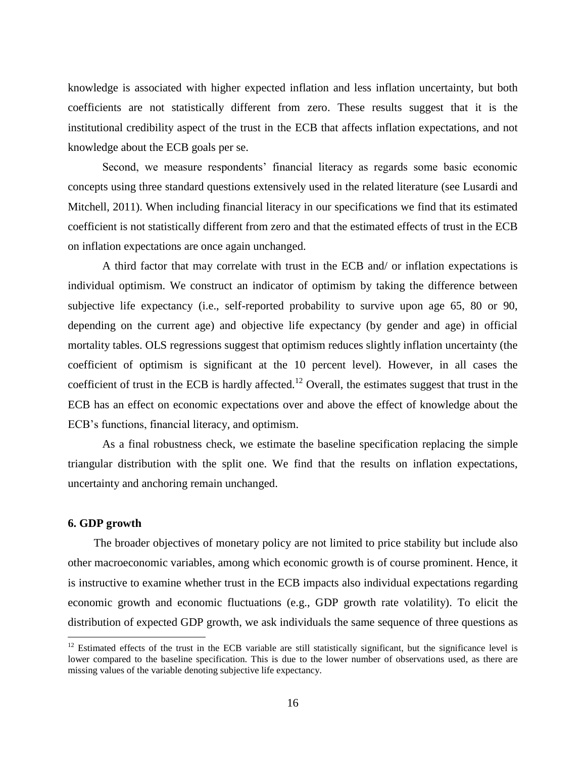knowledge is associated with higher expected inflation and less inflation uncertainty, but both coefficients are not statistically different from zero. These results suggest that it is the institutional credibility aspect of the trust in the ECB that affects inflation expectations, and not knowledge about the ECB goals per se.

Second, we measure respondents' financial literacy as regards some basic economic concepts using three standard questions extensively used in the related literature (see Lusardi and Mitchell, 2011). When including financial literacy in our specifications we find that its estimated coefficient is not statistically different from zero and that the estimated effects of trust in the ECB on inflation expectations are once again unchanged.

A third factor that may correlate with trust in the ECB and/ or inflation expectations is individual optimism. We construct an indicator of optimism by taking the difference between subjective life expectancy (i.e., self-reported probability to survive upon age 65, 80 or 90, depending on the current age) and objective life expectancy (by gender and age) in official mortality tables. OLS regressions suggest that optimism reduces slightly inflation uncertainty (the coefficient of optimism is significant at the 10 percent level). However, in all cases the coefficient of trust in the ECB is hardly affected.<sup>12</sup> Overall, the estimates suggest that trust in the ECB has an effect on economic expectations over and above the effect of knowledge about the ECB's functions, financial literacy, and optimism.

As a final robustness check, we estimate the baseline specification replacing the simple triangular distribution with the split one. We find that the results on inflation expectations, uncertainty and anchoring remain unchanged.

# **6. GDP growth**

 $\overline{a}$ 

The broader objectives of monetary policy are not limited to price stability but include also other macroeconomic variables, among which economic growth is of course prominent. Hence, it is instructive to examine whether trust in the ECB impacts also individual expectations regarding economic growth and economic fluctuations (e.g., GDP growth rate volatility). To elicit the distribution of expected GDP growth, we ask individuals the same sequence of three questions as

 $12$  Estimated effects of the trust in the ECB variable are still statistically significant, but the significance level is lower compared to the baseline specification. This is due to the lower number of observations used, as there are missing values of the variable denoting subjective life expectancy.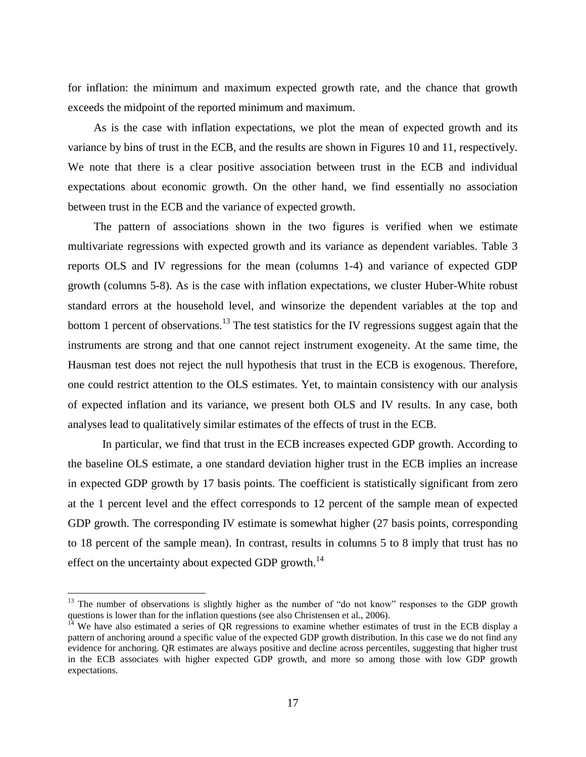for inflation: the minimum and maximum expected growth rate, and the chance that growth exceeds the midpoint of the reported minimum and maximum.

As is the case with inflation expectations, we plot the mean of expected growth and its variance by bins of trust in the ECB, and the results are shown in Figures 10 and 11, respectively. We note that there is a clear positive association between trust in the ECB and individual expectations about economic growth. On the other hand, we find essentially no association between trust in the ECB and the variance of expected growth.

The pattern of associations shown in the two figures is verified when we estimate multivariate regressions with expected growth and its variance as dependent variables. Table 3 reports OLS and IV regressions for the mean (columns 1-4) and variance of expected GDP growth (columns 5-8). As is the case with inflation expectations, we cluster Huber-White robust standard errors at the household level, and winsorize the dependent variables at the top and bottom 1 percent of observations.<sup>13</sup> The test statistics for the IV regressions suggest again that the instruments are strong and that one cannot reject instrument exogeneity. At the same time, the Hausman test does not reject the null hypothesis that trust in the ECB is exogenous. Therefore, one could restrict attention to the OLS estimates. Yet, to maintain consistency with our analysis of expected inflation and its variance, we present both OLS and IV results. In any case, both analyses lead to qualitatively similar estimates of the effects of trust in the ECB.

In particular, we find that trust in the ECB increases expected GDP growth. According to the baseline OLS estimate, a one standard deviation higher trust in the ECB implies an increase in expected GDP growth by 17 basis points. The coefficient is statistically significant from zero at the 1 percent level and the effect corresponds to 12 percent of the sample mean of expected GDP growth. The corresponding IV estimate is somewhat higher  $(27 \text{ basis points}, \text{corresponding})$ to 18 percent of the sample mean). In contrast, results in columns 5 to 8 imply that trust has no effect on the uncertainty about expected GDP growth.<sup>14</sup>

 $\overline{a}$ 

 $13$  The number of observations is slightly higher as the number of "do not know" responses to the GDP growth questions is lower than for the inflation questions (see also Christensen et al., 2006).

We have also estimated a series of QR regressions to examine whether estimates of trust in the ECB display a pattern of anchoring around a specific value of the expected GDP growth distribution. In this case we do not find any evidence for anchoring. QR estimates are always positive and decline across percentiles, suggesting that higher trust in the ECB associates with higher expected GDP growth, and more so among those with low GDP growth expectations.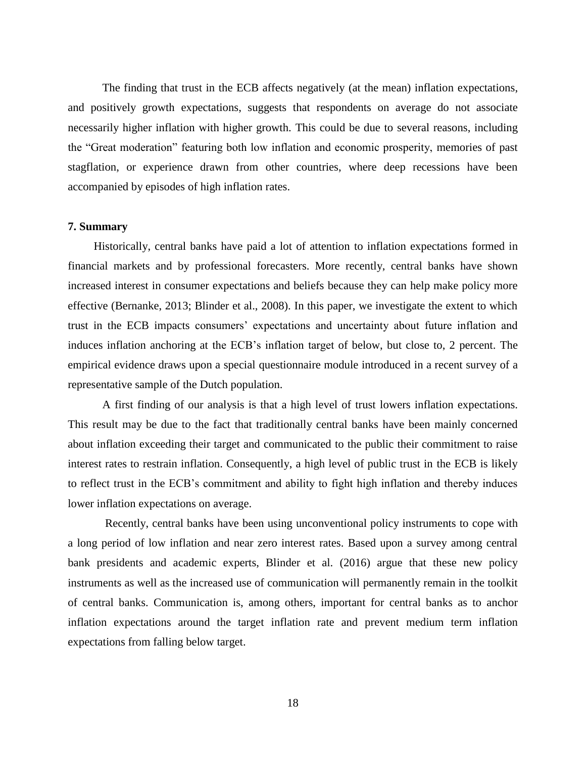The finding that trust in the ECB affects negatively (at the mean) inflation expectations, and positively growth expectations, suggests that respondents on average do not associate necessarily higher inflation with higher growth. This could be due to several reasons, including the "Great moderation" featuring both low inflation and economic prosperity, memories of past stagflation, or experience drawn from other countries, where deep recessions have been accompanied by episodes of high inflation rates.

## **7. Summary**

Historically, central banks have paid a lot of attention to inflation expectations formed in financial markets and by professional forecasters. More recently, central banks have shown increased interest in consumer expectations and beliefs because they can help make policy more effective (Bernanke, 2013; Blinder et al., 2008). In this paper, we investigate the extent to which trust in the ECB impacts consumers' expectations and uncertainty about future inflation and induces inflation anchoring at the ECB's inflation target of below, but close to, 2 percent. The empirical evidence draws upon a special questionnaire module introduced in a recent survey of a representative sample of the Dutch population.

A first finding of our analysis is that a high level of trust lowers inflation expectations. This result may be due to the fact that traditionally central banks have been mainly concerned about inflation exceeding their target and communicated to the public their commitment to raise interest rates to restrain inflation. Consequently, a high level of public trust in the ECB is likely to reflect trust in the ECB's commitment and ability to fight high inflation and thereby induces lower inflation expectations on average.

Recently, central banks have been using unconventional policy instruments to cope with a long period of low inflation and near zero interest rates. Based upon a survey among central bank presidents and academic experts, Blinder et al. (2016) argue that these new policy instruments as well as the increased use of communication will permanently remain in the toolkit of central banks. Communication is, among others, important for central banks as to anchor inflation expectations around the target inflation rate and prevent medium term inflation expectations from falling below target.

18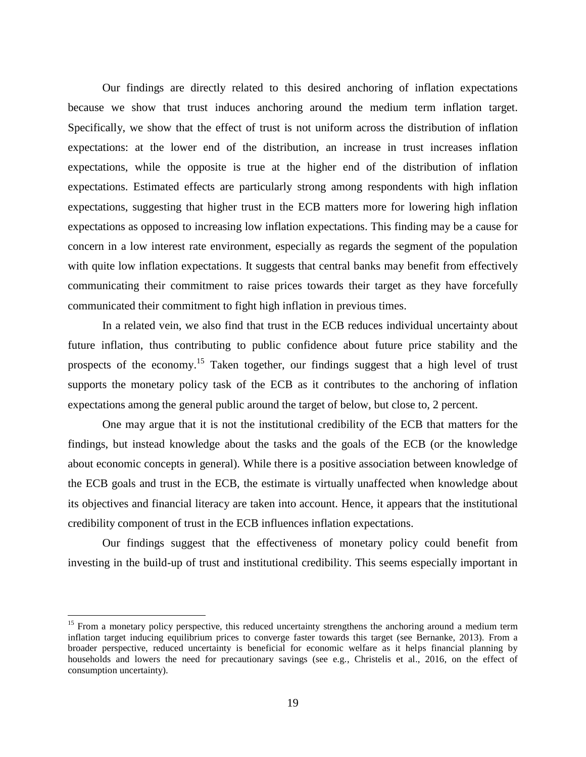Our findings are directly related to this desired anchoring of inflation expectations because we show that trust induces anchoring around the medium term inflation target. Specifically, we show that the effect of trust is not uniform across the distribution of inflation expectations: at the lower end of the distribution, an increase in trust increases inflation expectations, while the opposite is true at the higher end of the distribution of inflation expectations. Estimated effects are particularly strong among respondents with high inflation expectations, suggesting that higher trust in the ECB matters more for lowering high inflation expectations as opposed to increasing low inflation expectations. This finding may be a cause for concern in a low interest rate environment, especially as regards the segment of the population with quite low inflation expectations. It suggests that central banks may benefit from effectively communicating their commitment to raise prices towards their target as they have forcefully communicated their commitment to fight high inflation in previous times.

In a related vein, we also find that trust in the ECB reduces individual uncertainty about future inflation, thus contributing to public confidence about future price stability and the prospects of the economy.<sup>15</sup> Taken together, our findings suggest that a high level of trust supports the monetary policy task of the ECB as it contributes to the anchoring of inflation expectations among the general public around the target of below, but close to, 2 percent.

One may argue that it is not the institutional credibility of the ECB that matters for the findings, but instead knowledge about the tasks and the goals of the ECB (or the knowledge about economic concepts in general). While there is a positive association between knowledge of the ECB goals and trust in the ECB, the estimate is virtually unaffected when knowledge about its objectives and financial literacy are taken into account. Hence, it appears that the institutional credibility component of trust in the ECB influences inflation expectations.

Our findings suggest that the effectiveness of monetary policy could benefit from investing in the build-up of trust and institutional credibility. This seems especially important in

 $\overline{a}$ 

<sup>&</sup>lt;sup>15</sup> From a monetary policy perspective, this reduced uncertainty strengthens the anchoring around a medium term inflation target inducing equilibrium prices to converge faster towards this target (see Bernanke, 2013). From a broader perspective, reduced uncertainty is beneficial for economic welfare as it helps financial planning by households and lowers the need for precautionary savings (see e.g., Christelis et al., 2016, on the effect of consumption uncertainty).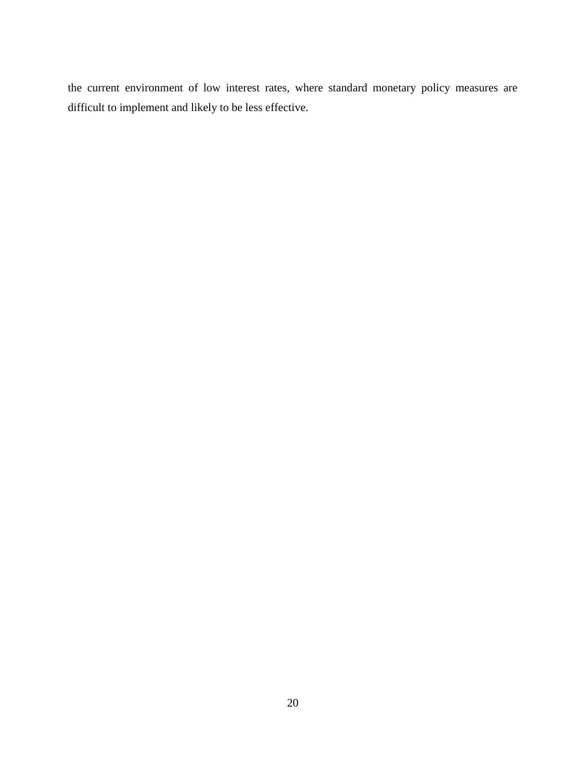the current environment of low interest rates, where standard monetary policy measures are difficult to implement and likely to be less effective.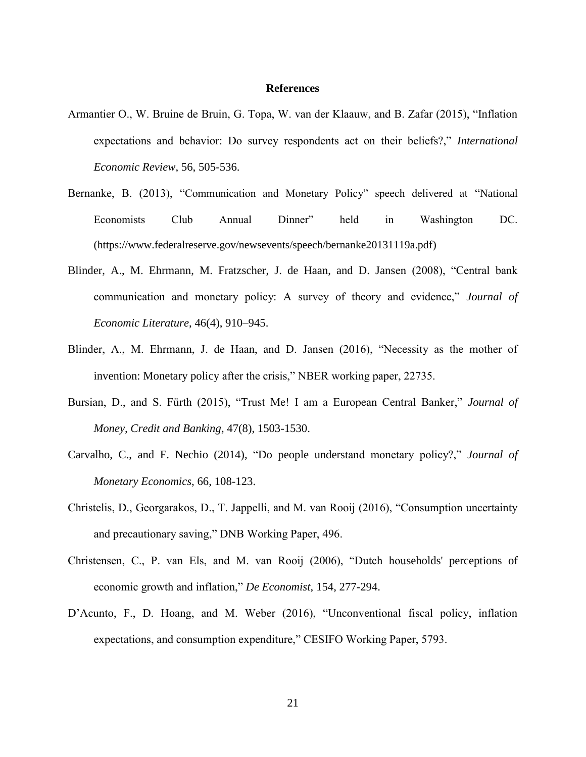#### **References**

- Armantier O., W. Bruine de Bruin, G. Topa, W. van der Klaauw, and B. Zafar (2015), "Inflation expectations and behavior: Do survey respondents act on their beliefs?," *International Economic Review*, 56, 505-536.
- Bernanke, B. (2013), "Communication and Monetary Policy" speech delivered at "National Economists Club Annual Dinner" held in Washington DC. (https://www.federalreserve.gov/newsevents/speech/bernanke20131119a.pdf)
- Blinder, A., M. Ehrmann, M. Fratzscher, J. de Haan, and D. Jansen (2008), "Central bank communication and monetary policy: A survey of theory and evidence," *Journal of Economic Literature*, 46(4), 910–945.
- Blinder, A., M. Ehrmann, J. de Haan, and D. Jansen (2016), "Necessity as the mother of invention: Monetary policy after the crisis," NBER working paper, 22735.
- Bursian, D., and S. Fürth (2015), "Trust Me! I am a European Central Banker," *Journal of Money, Credit and Banking*, 47(8), 1503-1530.
- Carvalho, C., and F. Nechio (2014), "Do people understand monetary policy?," *Journal of Monetary Economics*, 66, 108-123.
- Christelis, D., Georgarakos, D., T. Jappelli, and M. van Rooij (2016), "Consumption uncertainty and precautionary saving," DNB Working Paper, 496.
- Christensen, C., P. van Els, and M. van Rooij (2006), "Dutch households' perceptions of economic growth and inflation," *De Economist*, 154, 277-294.
- D'Acunto, F., D. Hoang, and M. Weber (2016), "Unconventional fiscal policy, inflation expectations, and consumption expenditure," CESIFO Working Paper, 5793.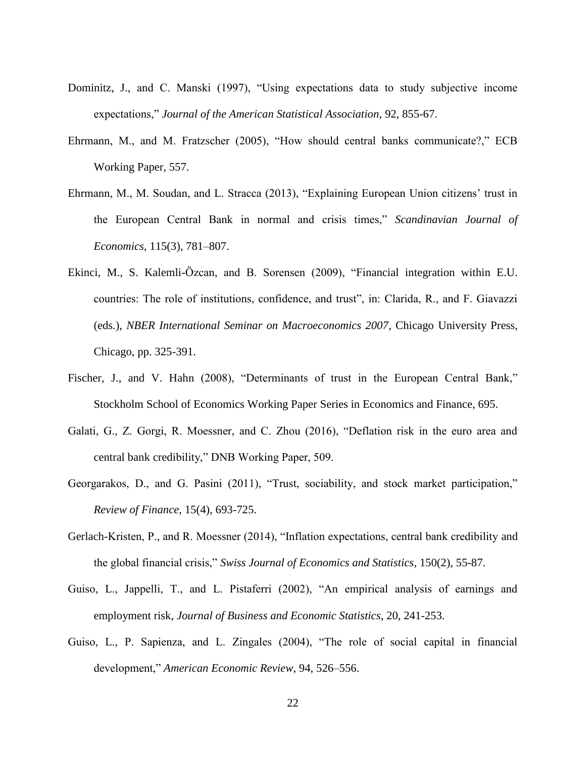- Dominitz, J., and C. Manski (1997), "Using expectations data to study subjective income expectations," *Journal of the American Statistical Association*, 92, 855-67.
- Ehrmann, M., and M. Fratzscher (2005), "How should central banks communicate?," ECB Working Paper, 557.
- Ehrmann, M., M. Soudan, and L. Stracca (2013), "Explaining European Union citizens' trust in the European Central Bank in normal and crisis times," *Scandinavian Journal of Economics*, 115(3), 781–807.
- Ekinci, M., S. Kalemli-Özcan, and B. Sorensen (2009), "Financial integration within E.U. countries: The role of institutions, confidence, and trust", in: Clarida, R., and F. Giavazzi (eds.), *NBER International Seminar on Macroeconomics 2007*, Chicago University Press, Chicago, pp. 325-391.
- Fischer, J., and V. Hahn (2008), "Determinants of trust in the European Central Bank," Stockholm School of Economics Working Paper Series in Economics and Finance, 695.
- Galati, G., Z. Gorgi, R. Moessner, and C. Zhou (2016), "Deflation risk in the euro area and central bank credibility," DNB Working Paper, 509.
- Georgarakos, D., and G. Pasini (2011), "Trust, sociability, and stock market participation," *Review of Finance*, 15(4), 693-725.
- Gerlach-Kristen, P., and R. Moessner (2014), "Inflation expectations, central bank credibility and the global financial crisis," *Swiss Journal of Economics and Statistics*, 150(2), 55-87.
- Guiso, L., Jappelli, T., and L. Pistaferri (2002), "An empirical analysis of earnings and employment risk, *Journal of Business and Economic Statistics*, 20, 241-253.
- Guiso, L., P. Sapienza, and L. Zingales (2004), "The role of social capital in financial development," *American Economic Review*, 94, 526–556.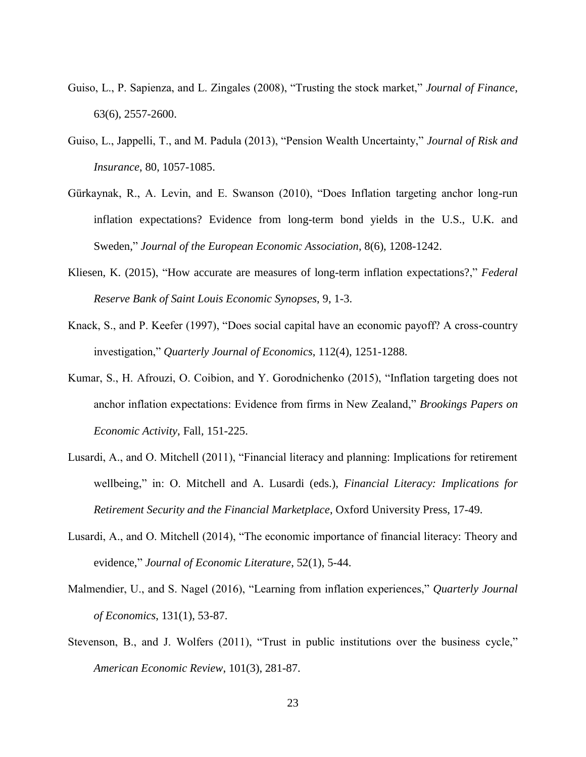- Guiso, L., P. Sapienza, and L. Zingales (2008), "Trusting the stock market," *Journal of Finance*, 63(6), 2557-2600.
- Guiso, L., Jappelli, T., and M. Padula (2013), "Pension Wealth Uncertainty," *Journal of Risk and Insurance*, 80, 1057-1085.
- Gürkaynak, R., A. Levin, and E. Swanson (2010), "Does Inflation targeting anchor long-run inflation expectations? Evidence from long-term bond yields in the U.S., U.K. and Sweden," *Journal of the European Economic Association*, 8(6), 1208-1242.
- Kliesen, K. (2015), "How accurate are measures of long-term inflation expectations?," *Federal Reserve Bank of Saint Louis Economic Synopses*, 9, 1-3.
- Knack, S., and P. Keefer (1997), "Does social capital have an economic payoff? A cross-country investigation," *Quarterly Journal of Economics*, 112(4), 1251-1288.
- Kumar, S., H. Afrouzi, O. Coibion, and Y. Gorodnichenko (2015), "Inflation targeting does not anchor inflation expectations: Evidence from firms in New Zealand," *Brookings Papers on Economic Activity*, Fall*,* 151-225.
- Lusardi, A., and O. Mitchell (2011), "Financial literacy and planning: Implications for retirement wellbeing," in: O. Mitchell and A. Lusardi (eds.), *Financial Literacy: Implications for Retirement Security and the Financial Marketplace*, Oxford University Press, 17-49.
- Lusardi, A., and O. Mitchell (2014), "The economic importance of financial literacy: Theory and evidence," *Journal of Economic Literature*, 52(1), 5-44.
- Malmendier, U., and S. Nagel (2016), "Learning from inflation experiences," *Quarterly Journal of Economics*, 131(1), 53-87.
- Stevenson, B., and J. Wolfers (2011), "Trust in public institutions over the business cycle," *American Economic Review*, 101(3), 281-87.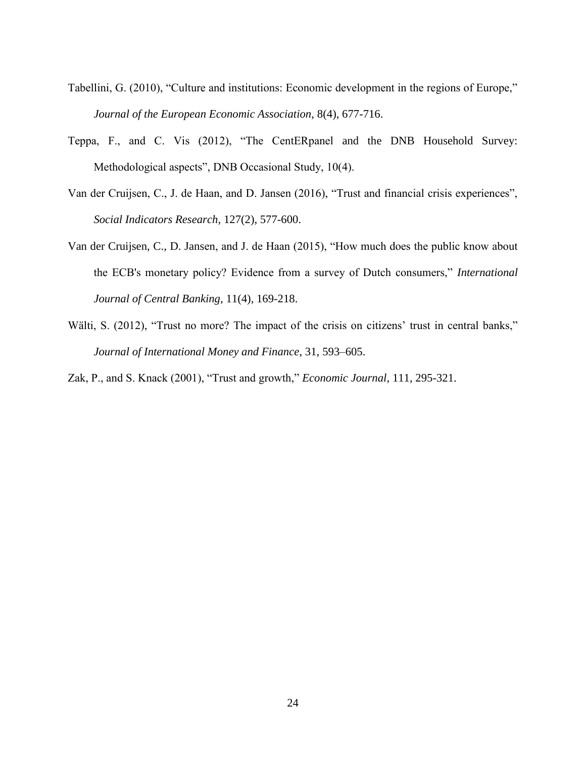- Tabellini, G. (2010), "Culture and institutions: Economic development in the regions of Europe," *Journal of the European Economic Association*, 8(4), 677-716.
- Teppa, F., and C. Vis (2012), "The CentERpanel and the DNB Household Survey: Methodological aspects", DNB Occasional Study, 10(4).
- Van der Cruijsen, C., J. de Haan, and D. Jansen (2016), "Trust and financial crisis experiences", *Social Indicators Research*, 127(2), 577-600.
- Van der Cruijsen, C., D. Jansen, and J. de Haan (2015), "How much does the public know about the ECB's monetary policy? Evidence from a survey of Dutch consumers," *International Journal of Central Banking*, 11(4), 169-218.
- Wälti, S. (2012), "Trust no more? The impact of the crisis on citizens' trust in central banks," *Journal of International Money and Finance*, 31, 593–605.
- Zak, P., and S. Knack (2001), "Trust and growth," *Economic Journal*, 111, 295-321.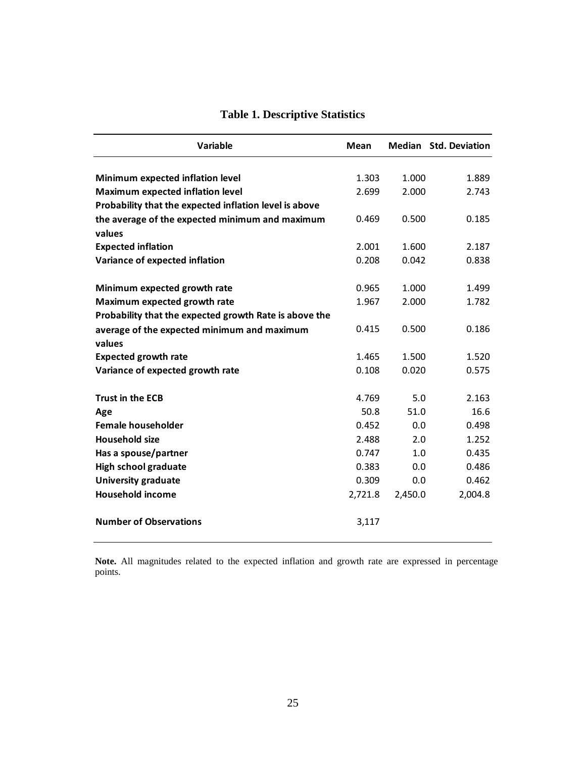| Variable                                               | Mean    |         | Median Std. Deviation |
|--------------------------------------------------------|---------|---------|-----------------------|
|                                                        |         |         |                       |
| Minimum expected inflation level                       | 1.303   | 1.000   | 1.889                 |
| <b>Maximum expected inflation level</b>                | 2.699   | 2.000   | 2.743                 |
| Probability that the expected inflation level is above |         |         |                       |
| the average of the expected minimum and maximum        | 0.469   | 0.500   | 0.185                 |
| values                                                 |         |         |                       |
| <b>Expected inflation</b>                              | 2.001   | 1.600   | 2.187                 |
| Variance of expected inflation                         | 0.208   | 0.042   | 0.838                 |
| Minimum expected growth rate                           | 0.965   | 1.000   | 1.499                 |
| Maximum expected growth rate                           | 1.967   | 2.000   | 1.782                 |
| Probability that the expected growth Rate is above the |         |         |                       |
| average of the expected minimum and maximum            | 0.415   | 0.500   | 0.186                 |
| values                                                 |         |         |                       |
| <b>Expected growth rate</b>                            | 1.465   | 1.500   | 1.520                 |
| Variance of expected growth rate                       | 0.108   | 0.020   | 0.575                 |
|                                                        |         |         |                       |
| <b>Trust in the ECB</b>                                | 4.769   | 5.0     | 2.163                 |
| Age                                                    | 50.8    | 51.0    | 16.6                  |
| <b>Female householder</b>                              | 0.452   | 0.0     | 0.498                 |
| <b>Household size</b>                                  | 2.488   | 2.0     | 1.252                 |
| Has a spouse/partner                                   | 0.747   | 1.0     | 0.435                 |
| <b>High school graduate</b>                            | 0.383   | 0.0     | 0.486                 |
| <b>University graduate</b>                             | 0.309   | 0.0     | 0.462                 |
| <b>Household income</b>                                | 2,721.8 | 2,450.0 | 2,004.8               |
| <b>Number of Observations</b>                          | 3,117   |         |                       |

# **Table 1. Descriptive Statistics**

**Note.** All magnitudes related to the expected inflation and growth rate are expressed in percentage points.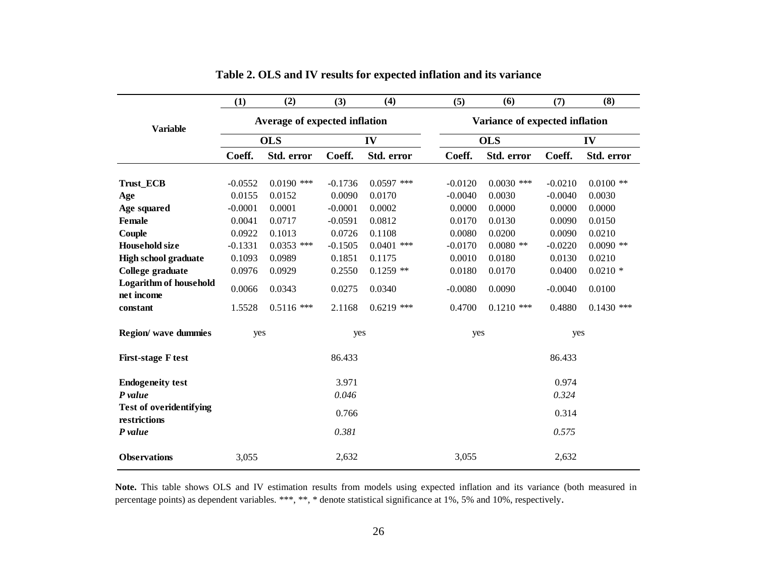|                                                | (1)       | (2)                           | (3)       | (4)          | (5)                            | (6)          | (7)       | (8)          |
|------------------------------------------------|-----------|-------------------------------|-----------|--------------|--------------------------------|--------------|-----------|--------------|
| <b>Variable</b>                                |           | Average of expected inflation |           |              | Variance of expected inflation |              |           |              |
|                                                |           | <b>OLS</b>                    | IV        |              | <b>OLS</b>                     |              | IV        |              |
|                                                | Coeff.    | Std. error                    | Coeff.    | Std. error   | Coeff.                         | Std. error   | Coeff.    | Std. error   |
| <b>Trust_ECB</b>                               | $-0.0552$ | $0.0190$ ***                  | $-0.1736$ | $0.0597$ *** | $-0.0120$                      | $0.0030$ *** | $-0.0210$ | $0.0100$ **  |
| Age                                            | 0.0155    | 0.0152                        | 0.0090    | 0.0170       | $-0.0040$                      | 0.0030       | $-0.0040$ | 0.0030       |
| Age squared                                    | $-0.0001$ | 0.0001                        | $-0.0001$ | 0.0002       | 0.0000                         | 0.0000       | 0.0000    | 0.0000       |
| <b>Female</b>                                  | 0.0041    | 0.0717                        | $-0.0591$ | 0.0812       | 0.0170                         | 0.0130       | 0.0090    | 0.0150       |
| Couple                                         | 0.0922    | 0.1013                        | 0.0726    | 0.1108       | 0.0080                         | 0.0200       | 0.0090    | 0.0210       |
| <b>Household size</b>                          | $-0.1331$ | $0.0353$ ***                  | $-0.1505$ | $0.0401$ *** | $-0.0170$                      | $0.0080$ **  | $-0.0220$ | $0.0090$ **  |
| <b>High school graduate</b>                    | 0.1093    | 0.0989                        | 0.1851    | 0.1175       | 0.0010                         | 0.0180       | 0.0130    | 0.0210       |
| College graduate                               | 0.0976    | 0.0929                        | 0.2550    | $0.1259$ **  | 0.0180                         | 0.0170       | 0.0400    | $0.0210*$    |
| <b>Logarithm of household</b><br>net income    | 0.0066    | 0.0343                        | 0.0275    | 0.0340       | $-0.0080$                      | 0.0090       | $-0.0040$ | 0.0100       |
| constant                                       | 1.5528    | $0.5116$ ***                  | 2.1168    | $0.6219$ *** | 0.4700                         | $0.1210$ *** | 0.4880    | $0.1430$ *** |
| Region/ wave dummies                           | yes       |                               | yes       |              | yes                            |              | yes       |              |
| <b>First-stage F test</b>                      |           |                               | 86.433    |              |                                |              | 86.433    |              |
| <b>Endogeneity test</b>                        |           |                               | 3.971     |              |                                |              | 0.974     |              |
| P value                                        |           |                               | 0.046     |              |                                |              | 0.324     |              |
| <b>Test of overidentifying</b><br>restrictions |           |                               | 0.766     |              |                                |              | 0.314     |              |
| P value                                        |           |                               | 0.381     |              |                                |              | 0.575     |              |
| <b>Observations</b>                            | 3,055     |                               | 2,632     |              | 3,055                          |              | 2,632     |              |

| Table 2. OLS and IV results for expected inflation and its variance |  |  |  |
|---------------------------------------------------------------------|--|--|--|
|---------------------------------------------------------------------|--|--|--|

**Note.** This table shows OLS and IV estimation results from models using expected inflation and its variance (both measured in percentage points) as dependent variables. \*\*\*, \*\*, \* denote statistical significance at 1%, 5% and 10%, respectively.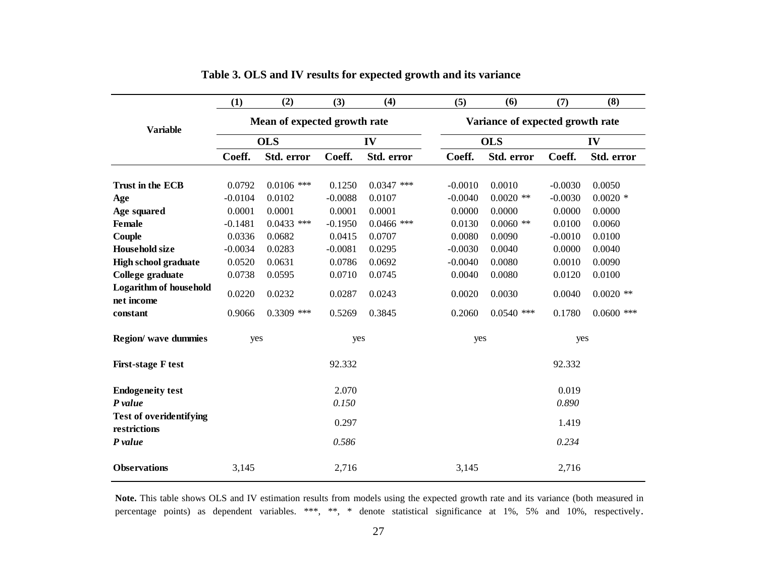|                                                | (1)       | (2)                          | (3)       | (4)          | (5)                              | (6)          | (7)       | (8)          |
|------------------------------------------------|-----------|------------------------------|-----------|--------------|----------------------------------|--------------|-----------|--------------|
| <b>Variable</b>                                |           | Mean of expected growth rate |           |              | Variance of expected growth rate |              |           |              |
|                                                |           | <b>OLS</b>                   |           | IV           |                                  | <b>OLS</b>   |           | IV           |
|                                                | Coeff.    | Std. error                   | Coeff.    | Std. error   | Coeff.                           | Std. error   | Coeff.    | Std. error   |
| Trust in the ECB                               | 0.0792    | $0.0106$ ***                 | 0.1250    | $0.0347$ *** | $-0.0010$                        | 0.0010       | $-0.0030$ | 0.0050       |
| Age                                            | $-0.0104$ | 0.0102                       | $-0.0088$ | 0.0107       | $-0.0040$                        | $0.0020$ **  | $-0.0030$ | $0.0020$ *   |
| Age squared                                    | 0.0001    | 0.0001                       | 0.0001    | 0.0001       | 0.0000                           | 0.0000       | 0.0000    | 0.0000       |
| <b>Female</b>                                  | $-0.1481$ | $0.0433$ ***                 | $-0.1950$ | $0.0466$ *** | 0.0130                           | $0.0060$ **  | 0.0100    | 0.0060       |
| Couple                                         | 0.0336    | 0.0682                       | 0.0415    | 0.0707       | 0.0080                           | 0.0090       | $-0.0010$ | 0.0100       |
| <b>Household size</b>                          | $-0.0034$ | 0.0283                       | $-0.0081$ | 0.0295       | $-0.0030$                        | 0.0040       | 0.0000    | 0.0040       |
| <b>High school graduate</b>                    | 0.0520    | 0.0631                       | 0.0786    | 0.0692       | $-0.0040$                        | 0.0080       | 0.0010    | 0.0090       |
| College graduate                               | 0.0738    | 0.0595                       | 0.0710    | 0.0745       | 0.0040                           | 0.0080       | 0.0120    | 0.0100       |
| <b>Logarithm of household</b><br>net income    | 0.0220    | 0.0232                       | 0.0287    | 0.0243       | 0.0020                           | 0.0030       | 0.0040    | $0.0020$ **  |
| constant                                       | 0.9066    | $0.3309$ ***                 | 0.5269    | 0.3845       | 0.2060                           | $0.0540$ *** | 0.1780    | $0.0600$ *** |
| Region/ wave dummies                           | yes       |                              | yes       |              | yes                              |              | yes       |              |
| <b>First-stage F test</b>                      |           |                              | 92.332    |              |                                  |              | 92.332    |              |
| <b>Endogeneity test</b>                        |           |                              | 2.070     |              |                                  |              | 0.019     |              |
| P value                                        |           |                              | 0.150     |              | 0.890                            |              |           |              |
| <b>Test of overidentifying</b><br>restrictions |           |                              | 0.297     |              |                                  |              | 1.419     |              |
| P value                                        |           |                              | 0.586     |              |                                  |              | 0.234     |              |
| <b>Observations</b>                            | 3,145     |                              | 2,716     |              | 3,145                            |              | 2,716     |              |

**Table 3. OLS and IV results for expected growth and its variance**

**Note.** This table shows OLS and IV estimation results from models using the expected growth rate and its variance (both measured in percentage points) as dependent variables. \*\*\*, \*\*, \* denote statistical significance at 1%, 5% and 10%, respectively.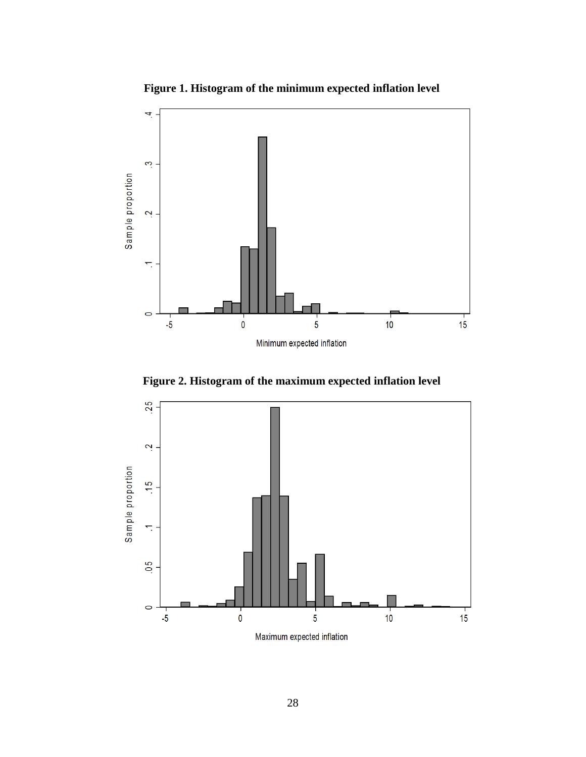

**Figure 1. Histogram of the minimum expected inflation level**

**Figure 2. Histogram of the maximum expected inflation level**

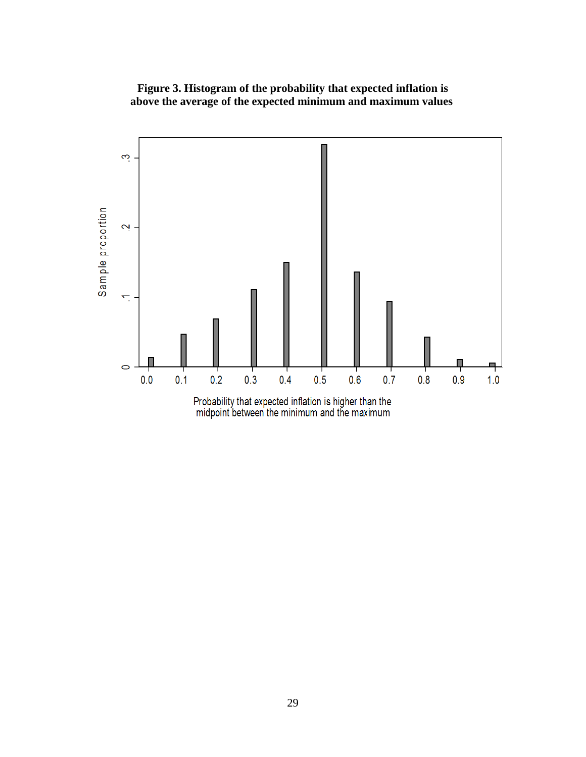

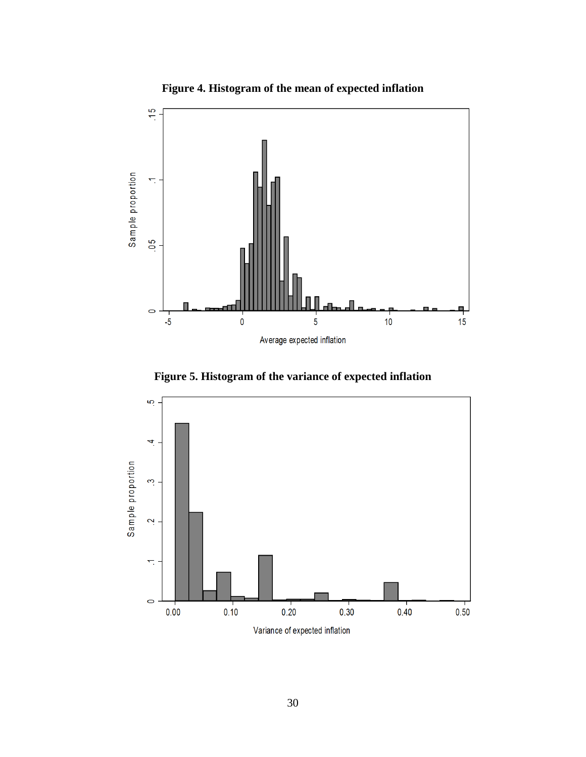



**Figure 5. Histogram of the variance of expected inflation**

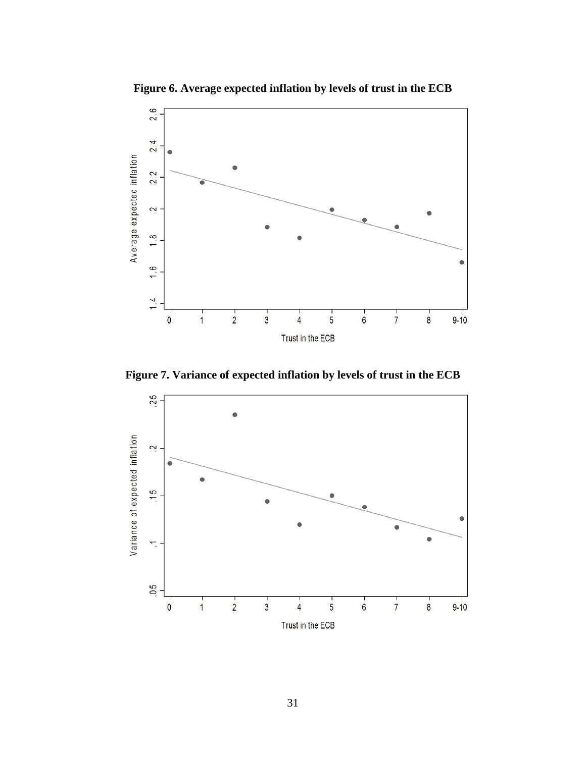

**Figure 6. Average expected inflation by levels of trust in the ECB**

**Figure 7. Variance of expected inflation by levels of trust in the ECB**

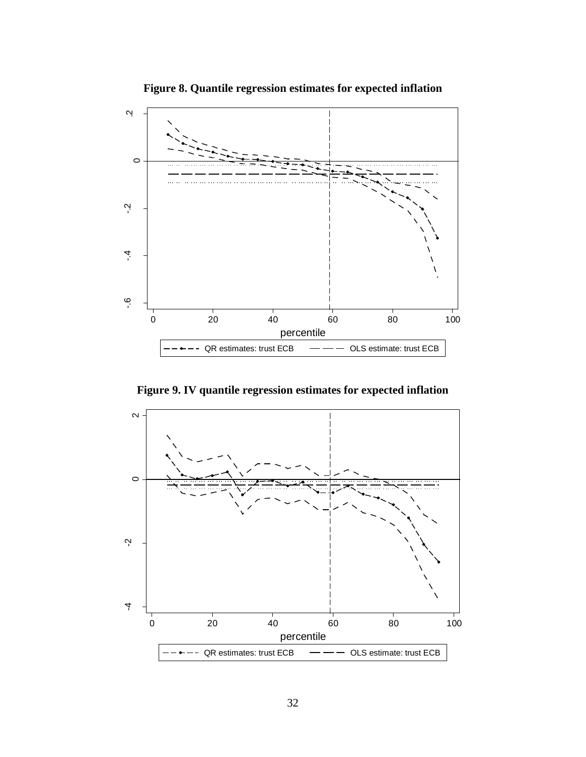

**Figure 8. Quantile regression estimates for expected inflation**

**Figure 9. IV quantile regression estimates for expected inflation**

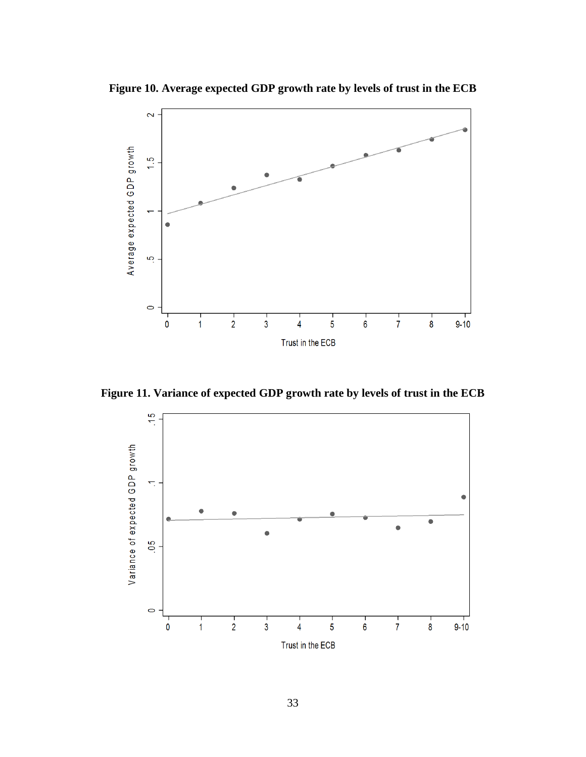**Figure 10. Average expected GDP growth rate by levels of trust in the ECB**



**Figure 11. Variance of expected GDP growth rate by levels of trust in the ECB**

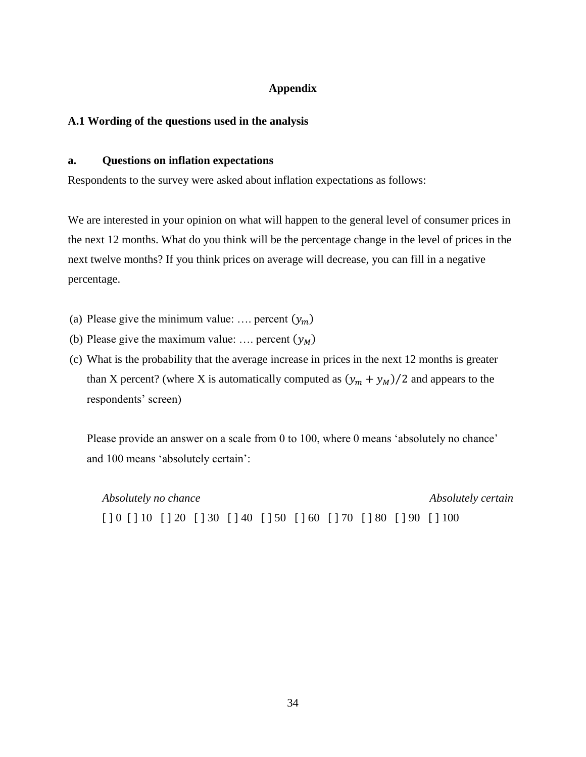# **Appendix**

# **A.1 Wording of the questions used in the analysis**

# **a. Questions on inflation expectations**

Respondents to the survey were asked about inflation expectations as follows:

We are interested in your opinion on what will happen to the general level of consumer prices in the next 12 months. What do you think will be the percentage change in the level of prices in the next twelve months? If you think prices on average will decrease, you can fill in a negative percentage.

- (a) Please give the minimum value: .... percent  $(y_m)$
- (b) Please give the maximum value: .... percent  $(y_M)$
- (c) What is the probability that the average increase in prices in the next 12 months is greater than X percent? (where X is automatically computed as  $(y_m + y_M)/2$  and appears to the respondents' screen)

Please provide an answer on a scale from 0 to 100, where 0 means 'absolutely no chance' and 100 means 'absolutely certain':

*Absolutely no chance Absolutely certain* [ ] 0 [ ] 10 [ ] 20 [ ] 30 [ ] 40 [ ] 50 [ ] 60 [ ] 70 [ ] 80 [ ] 90 [ ] 100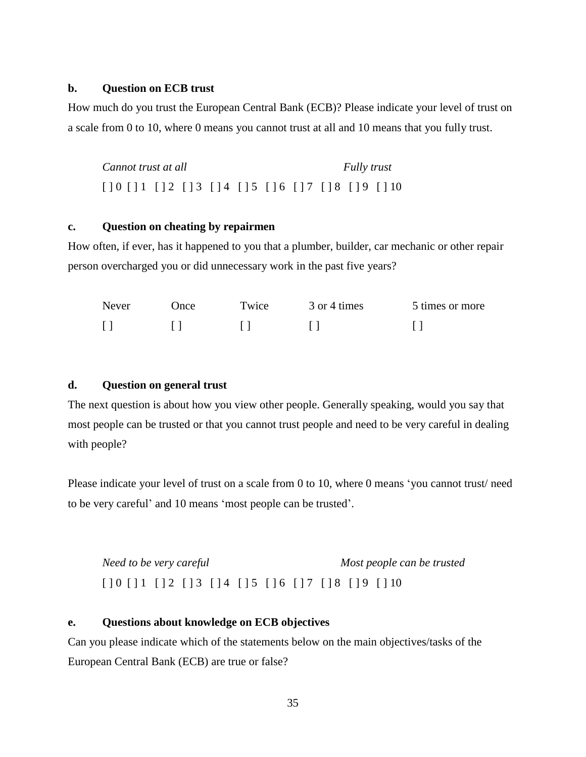# **b. Question on ECB trust**

How much do you trust the European Central Bank (ECB)? Please indicate your level of trust on a scale from 0 to 10, where 0 means you cannot trust at all and 10 means that you fully trust.

*Cannot trust at all Fully trust* [ ] 0 [ ] 1 [ ] 2 [ ] 3 [ ] 4 [ ] 5 [ ] 6 [ ] 7 [ ] 8 [ ] 9 [ ] 10

# **c. Question on cheating by repairmen**

How often, if ever, has it happened to you that a plumber, builder, car mechanic or other repair person overcharged you or did unnecessary work in the past five years?

| Never | ' )nce | Twice | 3 or 4 times | 5 times or more |
|-------|--------|-------|--------------|-----------------|
|       |        |       |              |                 |

# **d. Question on general trust**

The next question is about how you view other people. Generally speaking, would you say that most people can be trusted or that you cannot trust people and need to be very careful in dealing with people?

Please indicate your level of trust on a scale from 0 to 10, where 0 means 'you cannot trust/ need to be very careful' and 10 means 'most people can be trusted'.

*Need to be very careful Most people can be trusted* [ ] 0 [ ] 1 [ ] 2 [ ] 3 [ ] 4 [ ] 5 [ ] 6 [ ] 7 [ ] 8 [ ] 9 [ ] 10

# **e. Questions about knowledge on ECB objectives**

Can you please indicate which of the statements below on the main objectives/tasks of the European Central Bank (ECB) are true or false?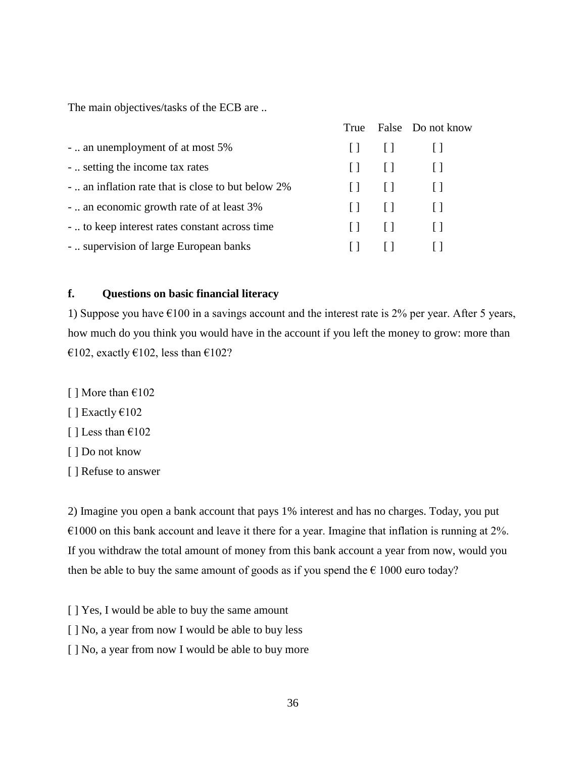The main objectives/tasks of the ECB are ..

|                                                    |              |              | True False Do not know |
|----------------------------------------------------|--------------|--------------|------------------------|
| -  an unemployment of at most 5%                   |              |              | 11 11 11               |
| -  setting the income tax rates                    |              |              | 11. 11. 11.            |
| -  an inflation rate that is close to but below 2% |              | $\pm$        |                        |
| -  an economic growth rate of at least 3%          | $\Box$       | $\Box$       | $\Box$                 |
| -  to keep interest rates constant across time     | $\mathbf{1}$ | $\mathbf{1}$ | $\sim$ 11              |
| -  supervision of large European banks             | $\mathsf{L}$ | $\perp$      |                        |

# **f. Questions on basic financial literacy**

1) Suppose you have  $\epsilon$ 100 in a savings account and the interest rate is 2% per year. After 5 years, how much do you think you would have in the account if you left the money to grow: more than €102, exactly €102, less than €102?

- [ ] More than  $€102$
- $\lceil$  ] Exactly  $\epsilon$ 102
- [ ] Less than  $€102$
- [ ] Do not know
- [ ] Refuse to answer

2) Imagine you open a bank account that pays 1% interest and has no charges. Today, you put  $\epsilon$ 1000 on this bank account and leave it there for a year. Imagine that inflation is running at 2%. If you withdraw the total amount of money from this bank account a year from now, would you then be able to buy the same amount of goods as if you spend the  $\epsilon$  1000 euro today?

- [ ] Yes, I would be able to buy the same amount
- [ ] No, a year from now I would be able to buy less
- [ ] No, a year from now I would be able to buy more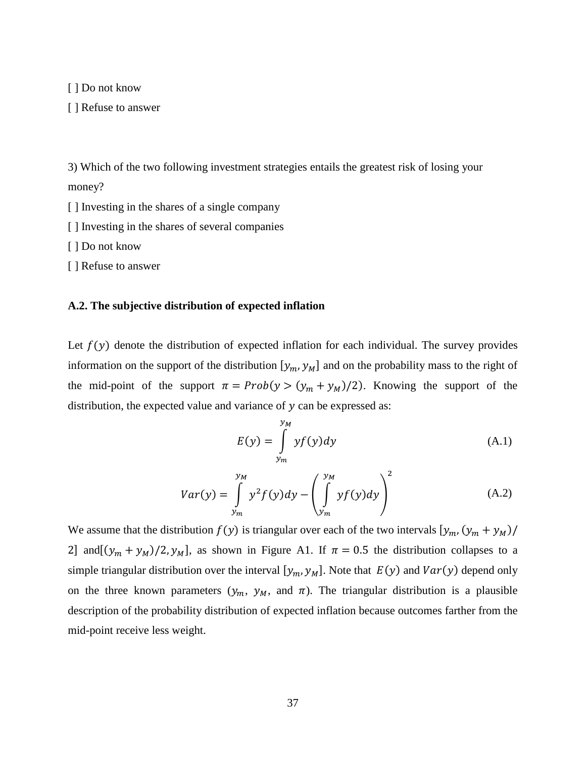[ ] Do not know

[ ] Refuse to answer

3) Which of the two following investment strategies entails the greatest risk of losing your money?

- [ ] Investing in the shares of a single company
- [ ] Investing in the shares of several companies

[ ] Do not know

[ ] Refuse to answer

# **A.2. The subjective distribution of expected inflation**

Let  $f(y)$  denote the distribution of expected inflation for each individual. The survey provides information on the support of the distribution  $[y_m, y_M]$  and on the probability mass to the right of the mid-point of the support  $\pi = Prob(y > (y_m + y_M)/2)$ . Knowing the support of the distribution, the expected value and variance of  $\nu$  can be expressed as:

$$
E(y) = \int_{y_m}^{y_M} y f(y) dy
$$
 (A.1)

$$
Var(y) = \int_{y_m}^{y_M} y^2 f(y) dy - \left(\int_{y_m}^{y_M} y f(y) dy\right)^2
$$
 (A.2)

We assume that the distribution  $f(y)$  is triangular over each of the two intervals  $[y_m, (y_m + y_M)]$ 2] and  $[(y_m + y_m)/2, y_m]$ , as shown in Figure A1. If  $\pi = 0.5$  the distribution collapses to a simple triangular distribution over the interval  $[y_m, y_m]$ . Note that  $E(y)$  and  $Var(y)$  depend only on the three known parameters  $(y_m, y_M,$  and  $\pi$ ). The triangular distribution is a plausible description of the probability distribution of expected inflation because outcomes farther from the mid-point receive less weight.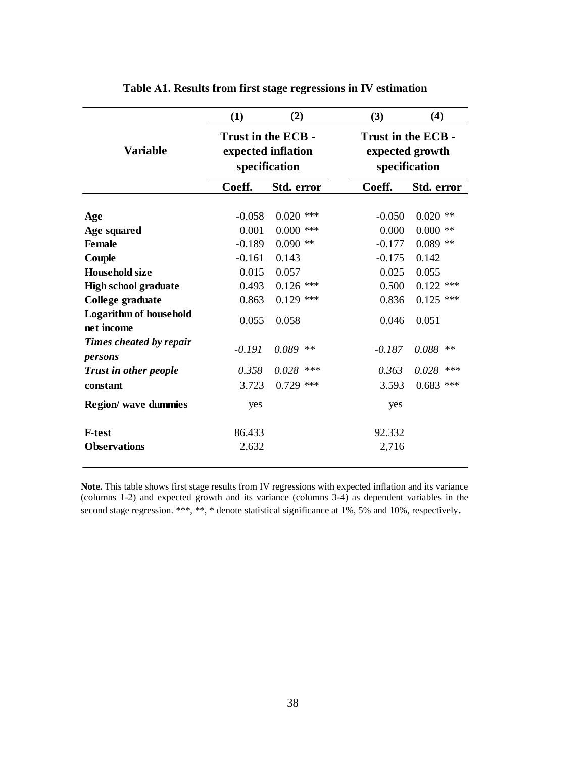|                                             | (1)                                                       | (2)                       | (3)               | (4)                                                    |  |  |
|---------------------------------------------|-----------------------------------------------------------|---------------------------|-------------------|--------------------------------------------------------|--|--|
| <b>Variable</b>                             | Trust in the ECB -<br>expected inflation<br>specification |                           |                   | Trust in the ECB -<br>expected growth<br>specification |  |  |
|                                             | Coeff.                                                    | Std. error                | Coeff.            | Std. error                                             |  |  |
| Age                                         | $-0.058$                                                  | $0.020$ ***               | $-0.050$          | $0.020$ **<br>$**$                                     |  |  |
| Age squared<br><b>Female</b>                | 0.001<br>$-0.189$                                         | $0.000$ ***<br>$0.090$ ** | 0.000<br>$-0.177$ | 0.000<br>$0.089$ **                                    |  |  |
| Couple                                      | $-0.161$                                                  | 0.143                     | $-0.175$          | 0.142                                                  |  |  |
| <b>Household size</b>                       | 0.015                                                     | 0.057                     | 0.025             | 0.055                                                  |  |  |
| <b>High school graduate</b>                 | 0.493                                                     | $0.126$ ***               | 0.500             | $0.122$ ***                                            |  |  |
| College graduate                            | 0.863                                                     | $0.129$ ***               | 0.836             | $0.125$ ***                                            |  |  |
| <b>Logarithm of household</b><br>net income | 0.055                                                     | 0.058                     | 0.046             | 0.051                                                  |  |  |
| Times cheated by repair<br>persons          | $-0.191$                                                  | 0.089<br>$***$            | $-0.187$          | 0.088<br>$***$                                         |  |  |
| <b>Trust in other people</b>                | 0.358                                                     | 0.028<br>***              | 0.363             | 0.028<br>***                                           |  |  |
| constant                                    | 3.723                                                     | $0.729$ ***               | 3.593             | $0.683$ ***                                            |  |  |
| Region/ wave dummies                        | yes                                                       |                           | yes               |                                                        |  |  |
| <b>F-test</b>                               | 86.433                                                    |                           | 92.332            |                                                        |  |  |
| <b>Observations</b>                         | 2,632                                                     |                           | 2,716             |                                                        |  |  |

**Table Α1. Results from first stage regressions in IV estimation**

**Note.** This table shows first stage results from IV regressions with expected inflation and its variance (columns 1-2) and expected growth and its variance (columns 3-4) as dependent variables in the second stage regression. \*\*\*, \*\*, \* denote statistical significance at 1%, 5% and 10%, respectively.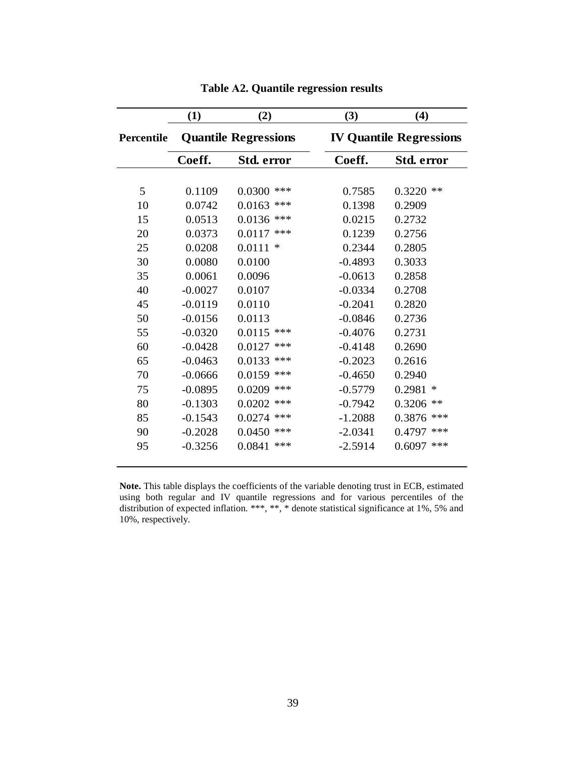|            | (1)                         | (2)               | (3)       | (4)                            |
|------------|-----------------------------|-------------------|-----------|--------------------------------|
| Percentile | <b>Quantile Regressions</b> |                   |           | <b>IV Quantile Regressions</b> |
|            | Coeff.                      | <b>Std. error</b> | Coeff.    | Std. error                     |
|            |                             |                   |           |                                |
| 5          | 0.1109                      | 0.0300<br>***     | 0.7585    | $\ast\ast$<br>0.3220           |
| 10         | 0.0742                      | 0.0163<br>***     | 0.1398    | 0.2909                         |
| 15         | 0.0513                      | 0.0136<br>$***$   | 0.0215    | 0.2732                         |
| 20         | 0.0373                      | 0.0117<br>***     | 0.1239    | 0.2756                         |
| 25         | 0.0208                      | 0.0111<br>$\ast$  | 0.2344    | 0.2805                         |
| 30         | 0.0080                      | 0.0100            | $-0.4893$ | 0.3033                         |
| 35         | 0.0061                      | 0.0096            | $-0.0613$ | 0.2858                         |
| 40         | $-0.0027$                   | 0.0107            | $-0.0334$ | 0.2708                         |
| 45         | $-0.0119$                   | 0.0110            | $-0.2041$ | 0.2820                         |
| 50         | $-0.0156$                   | 0.0113            | $-0.0846$ | 0.2736                         |
| 55         | $-0.0320$                   | 0.0115<br>$***$   | $-0.4076$ | 0.2731                         |
| 60         | $-0.0428$                   | $***$<br>0.0127   | $-0.4148$ | 0.2690                         |
| 65         | $-0.0463$                   | 0.0133<br>$***$   | $-0.2023$ | 0.2616                         |
| 70         | $-0.0666$                   | $***$<br>0.0159   | $-0.4650$ | 0.2940                         |
| 75         | $-0.0895$                   | 0.0209<br>***     | $-0.5779$ | 0.2981<br>∗                    |
| 80         | $-0.1303$                   | $***$<br>0.0202   | $-0.7942$ | 0.3206<br>$***$                |
| 85         | $-0.1543$                   | 0.0274<br>$***$   | $-1.2088$ | 0.3876<br>***                  |
| 90         | $-0.2028$                   | $***$<br>0.0450   | $-2.0341$ | ***<br>0.4797                  |
| 95         | $-0.3256$                   | 0.0841<br>***     | $-2.5914$ | ***<br>0.6097                  |
|            |                             |                   |           |                                |

# **Table Α2. Quantile regression results**

**Note.** This table displays the coefficients of the variable denoting trust in ECB, estimated using both regular and IV quantile regressions and for various percentiles of the distribution of expected inflation. \*\*\*, \*\*, \* denote statistical significance at 1%, 5% and 10%, respectively.